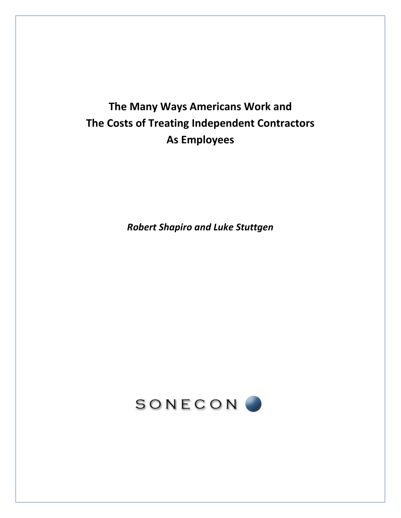# **The Many Ways Americans Work and The Costs of Treating Independent Contractors As Employees**

*Robert Shapiro and Luke Stuttgen*

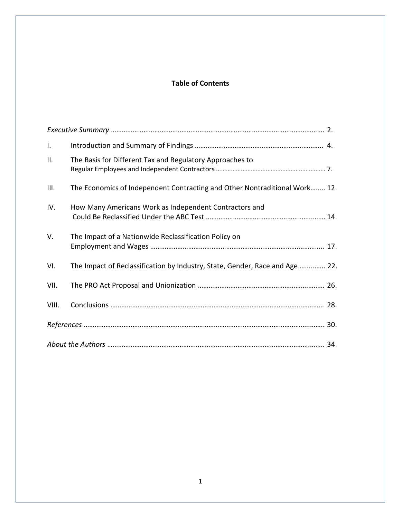# **Table of Contents**

| $\mathbf{I}$ . |                                                                              |  |
|----------------|------------------------------------------------------------------------------|--|
| Ш.             | The Basis for Different Tax and Regulatory Approaches to                     |  |
| III.           | The Economics of Independent Contracting and Other Nontraditional Work 12.   |  |
| IV.            | How Many Americans Work as Independent Contractors and                       |  |
| V.             | The Impact of a Nationwide Reclassification Policy on                        |  |
| VI.            | The Impact of Reclassification by Industry, State, Gender, Race and Age  22. |  |
| VII.           |                                                                              |  |
| VIII.          |                                                                              |  |
|                |                                                                              |  |
|                |                                                                              |  |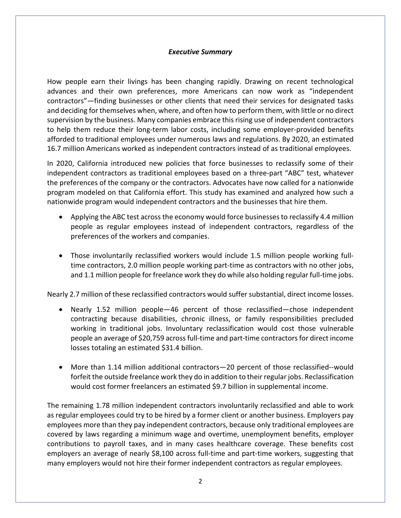## *Executive Summary*

How people earn their livings has been changing rapidly. Drawing on recent technological advances and their own preferences, more Americans can now work as "independent contractors"—finding businesses or other clients that need their services for designated tasks and deciding for themselves when, where, and often how to perform them, with little or no direct supervision by the business. Many companies embrace this rising use of independent contractors to help them reduce their long-term labor costs, including some employer-provided benefits afforded to traditional employees under numerous laws and regulations. By 2020, an estimated 16.7 million Americans worked as independent contractors instead of as traditional employees.

In 2020, California introduced new policies that force businesses to reclassify some of their independent contractors as traditional employees based on a three-part "ABC" test, whatever the preferences of the company or the contractors. Advocates have now called for a nationwide program modeled on that California effort. This study has examined and analyzed how such a nationwide program would independent contractors and the businesses that hire them.

- Applying the ABC test across the economy would force businesses to reclassify 4.4 million people as regular employees instead of independent contractors, regardless of the preferences of the workers and companies.
- Those involuntarily reclassified workers would include 1.5 million people working fulltime contractors, 2.0 million people working part-time as contractors with no other jobs, and 1.1 million people for freelance work they do while also holding regular full-time jobs.

Nearly 2.7 million of these reclassified contractors would suffer substantial, direct income losses.

- Nearly 1.52 million people—46 percent of those reclassified—chose independent contracting because disabilities, chronic illness, or family responsibilities precluded working in traditional jobs. Involuntary reclassification would cost those vulnerable people an average of \$20,759 across full-time and part-time contractors for direct income losses totaling an estimated \$31.4 billion.
- More than 1.14 million additional contractors—20 percent of those reclassified--would forfeit the outside freelance work they do in addition to their regular jobs. Reclassification would cost former freelancers an estimated \$9.7 billion in supplemental income.

The remaining 1.78 million independent contractors involuntarily reclassified and able to work as regular employees could try to be hired by a former client or another business. Employers pay employees more than they pay independent contractors, because only traditional employees are covered by laws regarding a minimum wage and overtime, unemployment benefits, employer contributions to payroll taxes, and in many cases healthcare coverage. These benefits cost employers an average of nearly \$8,100 across full-time and part-time workers, suggesting that many employers would not hire their former independent contractors as regular employees.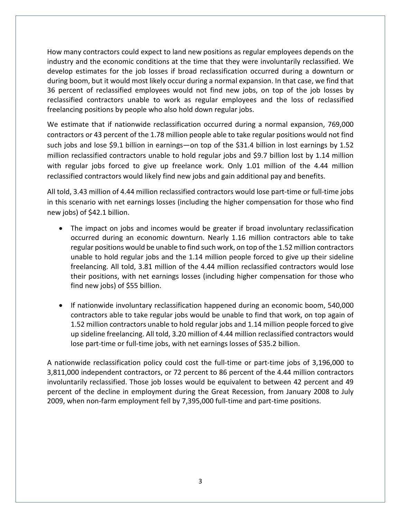How many contractors could expect to land new positions as regular employees depends on the industry and the economic conditions at the time that they were involuntarily reclassified. We develop estimates for the job losses if broad reclassification occurred during a downturn or during boom, but it would most likely occur during a normal expansion. In that case, we find that 36 percent of reclassified employees would not find new jobs, on top of the job losses by reclassified contractors unable to work as regular employees and the loss of reclassified freelancing positions by people who also hold down regular jobs.

We estimate that if nationwide reclassification occurred during a normal expansion, 769,000 contractors or 43 percent of the 1.78 million people able to take regular positions would not find such jobs and lose \$9.1 billion in earnings—on top of the \$31.4 billion in lost earnings by 1.52 million reclassified contractors unable to hold regular jobs and \$9.7 billion lost by 1.14 million with regular jobs forced to give up freelance work. Only 1.01 million of the 4.44 million reclassified contractors would likely find new jobs and gain additional pay and benefits.

All told, 3.43 million of 4.44 million reclassified contractors would lose part-time or full-time jobs in this scenario with net earnings losses (including the higher compensation for those who find new jobs) of \$42.1 billion.

- The impact on jobs and incomes would be greater if broad involuntary reclassification occurred during an economic downturn. Nearly 1.16 million contractors able to take regular positions would be unable to find such work, on top of the 1.52 million contractors unable to hold regular jobs and the 1.14 million people forced to give up their sideline freelancing. All told, 3.81 million of the 4.44 million reclassified contractors would lose their positions, with net earnings losses (including higher compensation for those who find new jobs) of \$55 billion.
- If nationwide involuntary reclassification happened during an economic boom, 540,000 contractors able to take regular jobs would be unable to find that work, on top again of 1.52 million contractors unable to hold regular jobs and 1.14 million people forced to give up sideline freelancing. All told, 3.20 million of 4.44 million reclassified contractors would lose part-time or full-time jobs, with net earnings losses of \$35.2 billion.

A nationwide reclassification policy could cost the full-time or part-time jobs of 3,196,000 to 3,811,000 independent contractors, or 72 percent to 86 percent of the 4.44 million contractors involuntarily reclassified. Those job losses would be equivalent to between 42 percent and 49 percent of the decline in employment during the Great Recession, from January 2008 to July 2009, when non-farm employment fell by 7,395,000 full-time and part-time positions.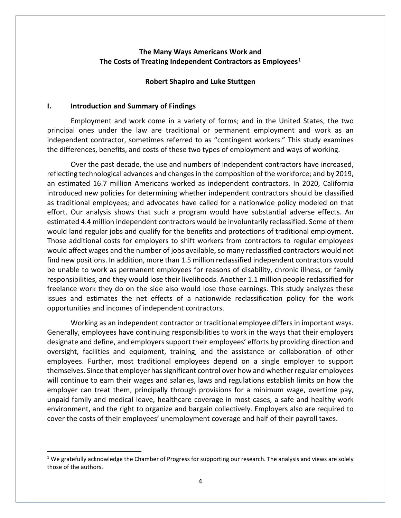## **The Many Ways Americans Work and The Costs of Treating Independent Contractors as Employees**[1](#page-4-0)

#### **Robert Shapiro and Luke Stuttgen**

#### **I. Introduction and Summary of Findings**

Employment and work come in a variety of forms; and in the United States, the two principal ones under the law are traditional or permanent employment and work as an independent contractor, sometimes referred to as "contingent workers." This study examines the differences, benefits, and costs of these two types of employment and ways of working.

Over the past decade, the use and numbers of independent contractors have increased, reflecting technological advances and changes in the composition of the workforce; and by 2019, an estimated 16.7 million Americans worked as independent contractors. In 2020, California introduced new policies for determining whether independent contractors should be classified as traditional employees; and advocates have called for a nationwide policy modeled on that effort. Our analysis shows that such a program would have substantial adverse effects. An estimated 4.4 million independent contractors would be involuntarily reclassified. Some of them would land regular jobs and qualify for the benefits and protections of traditional employment. Those additional costs for employers to shift workers from contractors to regular employees would affect wages and the number of jobs available, so many reclassified contractors would not find new positions. In addition, more than 1.5 million reclassified independent contractors would be unable to work as permanent employees for reasons of disability, chronic illness, or family responsibilities, and they would lose their livelihoods. Another 1.1 million people reclassified for freelance work they do on the side also would lose those earnings. This study analyzes these issues and estimates the net effects of a nationwide reclassification policy for the work opportunities and incomes of independent contractors.

Working as an independent contractor or traditional employee differs in important ways. Generally, employees have continuing responsibilities to work in the ways that their employers designate and define, and employers support their employees' efforts by providing direction and oversight, facilities and equipment, training, and the assistance or collaboration of other employees. Further, most traditional employees depend on a single employer to support themselves. Since that employer has significant control over how and whether regular employees will continue to earn their wages and salaries, laws and regulations establish limits on how the employer can treat them, principally through provisions for a minimum wage, overtime pay, unpaid family and medical leave, healthcare coverage in most cases, a safe and healthy work environment, and the right to organize and bargain collectively. Employers also are required to cover the costs of their employees' unemployment coverage and half of their payroll taxes.

<span id="page-4-0"></span> $1$  We gratefully acknowledge the Chamber of Progress for supporting our research. The analysis and views are solely those of the authors.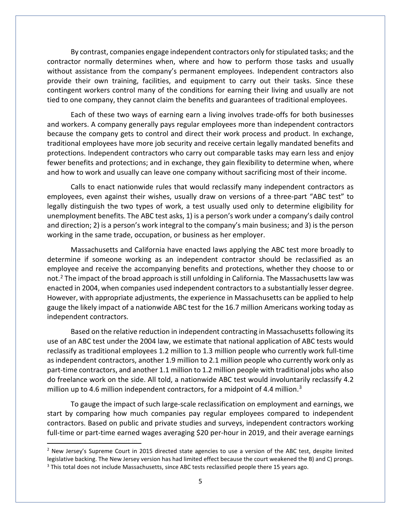By contrast, companies engage independent contractors only for stipulated tasks; and the contractor normally determines when, where and how to perform those tasks and usually without assistance from the company's permanent employees. Independent contractors also provide their own training, facilities, and equipment to carry out their tasks. Since these contingent workers control many of the conditions for earning their living and usually are not tied to one company, they cannot claim the benefits and guarantees of traditional employees.

Each of these two ways of earning earn a living involves trade-offs for both businesses and workers. A company generally pays regular employees more than independent contractors because the company gets to control and direct their work process and product. In exchange, traditional employees have more job security and receive certain legally mandated benefits and protections. Independent contractors who carry out comparable tasks may earn less and enjoy fewer benefits and protections; and in exchange, they gain flexibility to determine when, where and how to work and usually can leave one company without sacrificing most of their income.

Calls to enact nationwide rules that would reclassify many independent contractors as employees, even against their wishes, usually draw on versions of a three-part "ABC test" to legally distinguish the two types of work, a test usually used only to determine eligibility for unemployment benefits. The ABC test asks, 1) is a person's work under a company's daily control and direction; 2) is a person's work integral to the company's main business; and 3) is the person working in the same trade, occupation, or business as her employer.

Massachusetts and California have enacted laws applying the ABC test more broadly to determine if someone working as an independent contractor should be reclassified as an employee and receive the accompanying benefits and protections, whether they choose to or not.<sup>[2](#page-5-0)</sup> The impact of the broad approach is still unfolding in California. The Massachusetts law was enacted in 2004, when companies used independent contractors to a substantially lesser degree. However, with appropriate adjustments, the experience in Massachusetts can be applied to help gauge the likely impact of a nationwide ABC test for the 16.7 million Americans working today as independent contractors.

Based on the relative reduction in independent contracting in Massachusetts following its use of an ABC test under the 2004 law, we estimate that national application of ABC tests would reclassify as traditional employees 1.2 million to 1.3 million people who currently work full-time as independent contractors, another 1.9 million to 2.1 million people who currently work only as part-time contractors, and another 1.1 million to 1.2 million people with traditional jobs who also do freelance work on the side. All told, a nationwide ABC test would involuntarily reclassify 4.2 million up to 4.6 million independent contractors, for a midpoint of 4.4 million.<sup>[3](#page-5-1)</sup>

To gauge the impact of such large-scale reclassification on employment and earnings, we start by comparing how much companies pay regular employees compared to independent contractors. Based on public and private studies and surveys, independent contractors working full-time or part-time earned wages averaging \$20 per-hour in 2019, and their average earnings

<span id="page-5-1"></span><span id="page-5-0"></span><sup>&</sup>lt;sup>2</sup> New Jersey's Supreme Court in 2015 directed state agencies to use a version of the ABC test, despite limited legislative backing. The New Jersey version has had limited effect because the court weakened the B) and C) prongs.<br><sup>3</sup> This total does not include Massachusetts, since ABC tests reclassified people there 15 years ago.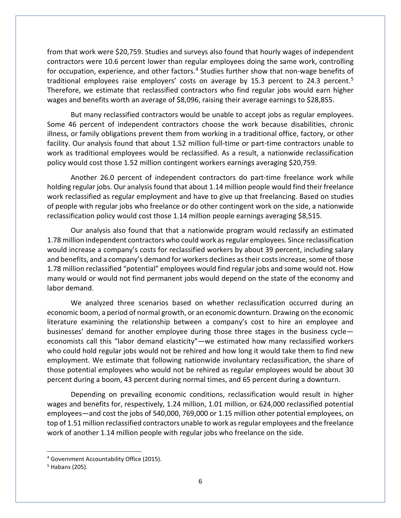from that work were \$20,759. Studies and surveys also found that hourly wages of independent contractors were 10.6 percent lower than regular employees doing the same work, controlling for occupation, experience, and other factors.<sup>[4](#page-6-0)</sup> Studies further show that non-wage benefits of traditional employees raise employers' costs on average by 1[5](#page-6-1).3 percent to 24.3 percent.<sup>5</sup> Therefore, we estimate that reclassified contractors who find regular jobs would earn higher wages and benefits worth an average of \$8,096, raising their average earnings to \$28,855.

But many reclassified contractors would be unable to accept jobs as regular employees. Some 46 percent of independent contractors choose the work because disabilities, chronic illness, or family obligations prevent them from working in a traditional office, factory, or other facility. Our analysis found that about 1.52 million full-time or part-time contractors unable to work as traditional employees would be reclassified. As a result, a nationwide reclassification policy would cost those 1.52 million contingent workers earnings averaging \$20,759.

Another 26.0 percent of independent contractors do part-time freelance work while holding regular jobs. Our analysis found that about 1.14 million people would find their freelance work reclassified as regular employment and have to give up that freelancing. Based on studies of people with regular jobs who freelance or do other contingent work on the side, a nationwide reclassification policy would cost those 1.14 million people earnings averaging \$8,515.

Our analysis also found that that a nationwide program would reclassify an estimated 1.78 million independent contractors who could work as regular employees. Since reclassification would increase a company's costs for reclassified workers by about 39 percent, including salary and benefits, and a company's demand for workers declines as their costs increase, some of those 1.78 million reclassified "potential" employees would find regular jobs and some would not. How many would or would not find permanent jobs would depend on the state of the economy and labor demand.

We analyzed three scenarios based on whether reclassification occurred during an economic boom, a period of normal growth, or an economic downturn. Drawing on the economic literature examining the relationship between a company's cost to hire an employee and businesses' demand for another employee during those three stages in the business cycle economists call this "labor demand elasticity"—we estimated how many reclassified workers who could hold regular jobs would not be rehired and how long it would take them to find new employment. We estimate that following nationwide involuntary reclassification, the share of those potential employees who would not be rehired as regular employees would be about 30 percent during a boom, 43 percent during normal times, and 65 percent during a downturn.

Depending on prevailing economic conditions, reclassification would result in higher wages and benefits for, respectively, 1.24 million, 1.01 million, or 624,000 reclassified potential employees—and cost the jobs of 540,000, 769,000 or 1.15 million other potential employees, on top of 1.51 million reclassified contractors unable to work as regular employees and the freelance work of another 1.14 million people with regular jobs who freelance on the side.

<span id="page-6-0"></span><sup>4</sup> Government Accountability Office (2015).

<span id="page-6-1"></span><sup>5</sup> Habans (205).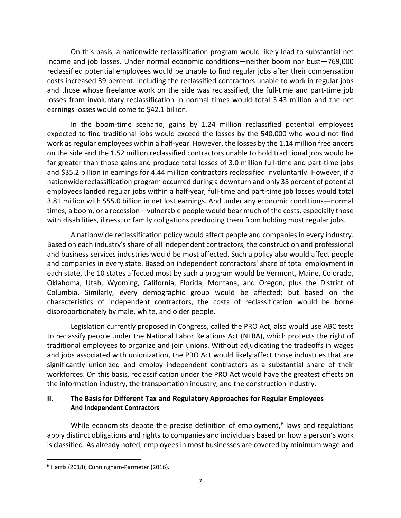On this basis, a nationwide reclassification program would likely lead to substantial net income and job losses. Under normal economic conditions—neither boom nor bust—769,000 reclassified potential employees would be unable to find regular jobs after their compensation costs increased 39 percent. Including the reclassified contractors unable to work in regular jobs and those whose freelance work on the side was reclassified, the full-time and part-time job losses from involuntary reclassification in normal times would total 3.43 million and the net earnings losses would come to \$42.1 billion.

In the boom-time scenario, gains by 1.24 million reclassified potential employees expected to find traditional jobs would exceed the losses by the 540,000 who would not find work as regular employees within a half-year. However, the losses by the 1.14 million freelancers on the side and the 1.52 million reclassified contractors unable to hold traditional jobs would be far greater than those gains and produce total losses of 3.0 million full-time and part-time jobs and \$35.2 billion in earnings for 4.44 million contractors reclassified involuntarily. However, if a nationwide reclassification program occurred during a downturn and only 35 percent of potential employees landed regular jobs within a half-year, full-time and part-time job losses would total 3.81 million with \$55.0 billion in net lost earnings. And under any economic conditions—normal times, a boom, or a recession—vulnerable people would bear much of the costs, especially those with disabilities, illness, or family obligations precluding them from holding most regular jobs.

A nationwide reclassification policy would affect people and companies in every industry. Based on each industry's share of all independent contractors, the construction and professional and business services industries would be most affected. Such a policy also would affect people and companies in every state. Based on independent contractors' share of total employment in each state, the 10 states affected most by such a program would be Vermont, Maine, Colorado, Oklahoma, Utah, Wyoming, California, Florida, Montana, and Oregon, plus the District of Columbia. Similarly, every demographic group would be affected; but based on the characteristics of independent contractors, the costs of reclassification would be borne disproportionately by male, white, and older people.

Legislation currently proposed in Congress, called the PRO Act, also would use ABC tests to reclassify people under the National Labor Relations Act (NLRA), which protects the right of traditional employees to organize and join unions. Without adjudicating the tradeoffs in wages and jobs associated with unionization, the PRO Act would likely affect those industries that are significantly unionized and employ independent contractors as a substantial share of their workforces. On this basis, reclassification under the PRO Act would have the greatest effects on the information industry, the transportation industry, and the construction industry.

## **II. The Basis for Different Tax and Regulatory Approaches for Regular Employees And Independent Contractors**

While economists debate the precise definition of employment, $<sup>6</sup>$  $<sup>6</sup>$  $<sup>6</sup>$  laws and regulations</sup> apply distinct obligations and rights to companies and individuals based on how a person's work is classified. As already noted, employees in most businesses are covered by minimum wage and

<span id="page-7-0"></span><sup>6</sup> Harris (2018); Cunningham-Parmeter (2016).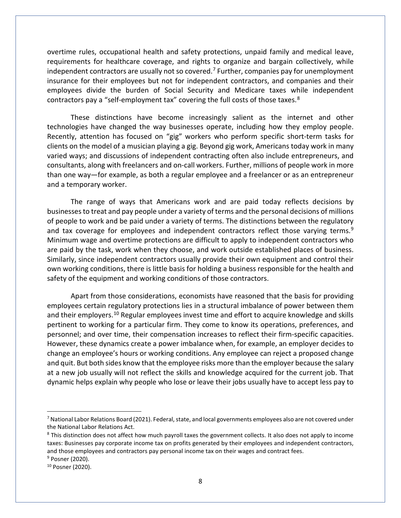overtime rules, occupational health and safety protections, unpaid family and medical leave, requirements for healthcare coverage, and rights to organize and bargain collectively, while independent contractors are usually not so covered.<sup>[7](#page-8-0)</sup> Further, companies pay for unemployment insurance for their employees but not for independent contractors, and companies and their employees divide the burden of Social Security and Medicare taxes while independent contractors pay a "self-employment tax" covering the full costs of those taxes.<sup>8</sup>

These distinctions have become increasingly salient as the internet and other technologies have changed the way businesses operate, including how they employ people. Recently, attention has focused on "gig" workers who perform specific short-term tasks for clients on the model of a musician playing a gig. Beyond gig work, Americans today work in many varied ways; and discussions of independent contracting often also include entrepreneurs, and consultants, along with freelancers and on-call workers. Further, millions of people work in more than one way—for example, as both a regular employee and a freelancer or as an entrepreneur and a temporary worker.

The range of ways that Americans work and are paid today reflects decisions by businesses to treat and pay people under a variety of terms and the personal decisions of millions of people to work and be paid under a variety of terms. The distinctions between the regulatory and tax coverage for employees and independent contractors reflect those varying terms.<sup>[9](#page-8-2)</sup> Minimum wage and overtime protections are difficult to apply to independent contractors who are paid by the task, work when they choose, and work outside established places of business. Similarly, since independent contractors usually provide their own equipment and control their own working conditions, there is little basis for holding a business responsible for the health and safety of the equipment and working conditions of those contractors.

Apart from those considerations, economists have reasoned that the basis for providing employees certain regulatory protections lies in a structural imbalance of power between them and their employers.<sup>[10](#page-8-3)</sup> Regular employees invest time and effort to acquire knowledge and skills pertinent to working for a particular firm. They come to know its operations, preferences, and personnel; and over time, their compensation increases to reflect their firm-specific capacities. However, these dynamics create a power imbalance when, for example, an employer decides to change an employee's hours or working conditions. Any employee can reject a proposed change and quit. But both sides know that the employee risks more than the employer because the salary at a new job usually will not reflect the skills and knowledge acquired for the current job. That dynamic helps explain why people who lose or leave their jobs usually have to accept less pay to

<span id="page-8-0"></span><sup>7</sup> National Labor Relations Board (2021). Federal, state, and local governments employees also are not covered under the National Labor Relations Act.

<span id="page-8-1"></span><sup>&</sup>lt;sup>8</sup> This distinction does not affect how much payroll taxes the government collects. It also does not apply to income taxes: Businesses pay corporate income tax on profits generated by their employees and independent contractors, and those employees and contractors pay personal income tax on their wages and contract fees.<br><sup>9</sup> Posner (2020).

<span id="page-8-2"></span>

<span id="page-8-3"></span><sup>10</sup> Posner (2020).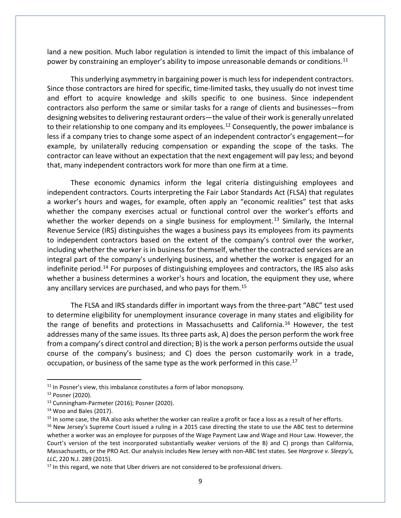land a new position. Much labor regulation is intended to limit the impact of this imbalance of power by constraining an employer's ability to impose unreasonable demands or conditions.<sup>[11](#page-9-0)</sup>

This underlying asymmetry in bargaining power is much less for independent contractors. Since those contractors are hired for specific, time-limited tasks, they usually do not invest time and effort to acquire knowledge and skills specific to one business. Since independent contractors also perform the same or similar tasks for a range of clients and businesses—from designing websites to delivering restaurant orders—the value of their work is generally unrelated to their relationship to one company and its employees.<sup>[12](#page-9-1)</sup> Consequently, the power imbalance is less if a company tries to change some aspect of an independent contractor's engagement—for example, by unilaterally reducing compensation or expanding the scope of the tasks. The contractor can leave without an expectation that the next engagement will pay less; and beyond that, many independent contractors work for more than one firm at a time.

These economic dynamics inform the legal criteria distinguishing employees and independent contractors. Courts interpreting the Fair Labor Standards Act (FLSA) that regulates a worker's hours and wages, for example, often apply an "economic realities" test that asks whether the company exercises actual or functional control over the worker's efforts and whether the worker depends on a single business for employment.<sup>[13](#page-9-2)</sup> Similarly, the Internal Revenue Service (IRS) distinguishes the wages a business pays its employees from its payments to independent contractors based on the extent of the company's control over the worker, including whether the worker is in business for themself, whether the contracted services are an integral part of the company's underlying business, and whether the worker is engaged for an indefinite period.<sup>[14](#page-9-3)</sup> For purposes of distinguishing employees and contractors, the IRS also asks whether a business determines a worker's hours and location, the equipment they use, where any ancillary services are purchased, and who pays for them.<sup>[15](#page-9-4)</sup>

The FLSA and IRS standards differ in important ways from the three-part "ABC" test used to determine eligibility for unemployment insurance coverage in many states and eligibility for the range of benefits and protections in Massachusetts and California.<sup>[16](#page-9-5)</sup> However, the test addresses many of the same issues. Its three parts ask, A) does the person perform the work free from a company's direct control and direction; B) is the work a person performs outside the usual course of the company's business; and C) does the person customarily work in a trade, occupation, or business of the same type as the work performed in this case.<sup>[17](#page-9-6)</sup>

<span id="page-9-1"></span><span id="page-9-0"></span><sup>&</sup>lt;sup>11</sup> In Posner's view, this imbalance constitutes a form of labor monopsony.<br><sup>12</sup> Posner (2020).

<span id="page-9-3"></span><span id="page-9-2"></span><sup>&</sup>lt;sup>13</sup> Cunningham-Parmeter (2016); Posner (2020).<br><sup>14</sup> Woo and Bales (2017).

<span id="page-9-4"></span><sup>&</sup>lt;sup>15</sup> In some case, the IRA also asks whether the worker can realize a profit or face a loss as a result of her efforts.<br><sup>16</sup> New Jersey's Supreme Court issued a ruling in a 2015 case directing the state to use the ABC tes

<span id="page-9-5"></span>whether a worker was an employee for purposes of the Wage Payment Law and Wage and Hour Law. However, the Court's version of the test incorporated substantially weaker versions of the B) and C) prongs than California, Massachusetts, or the PRO Act. Our analysis includes New Jersey with non-ABC test states. See *Hargrove v. Sleepy's, LLC*, 220 N.J. 289 (2015).

<span id="page-9-6"></span> $17$  In this regard, we note that Uber drivers are not considered to be professional drivers.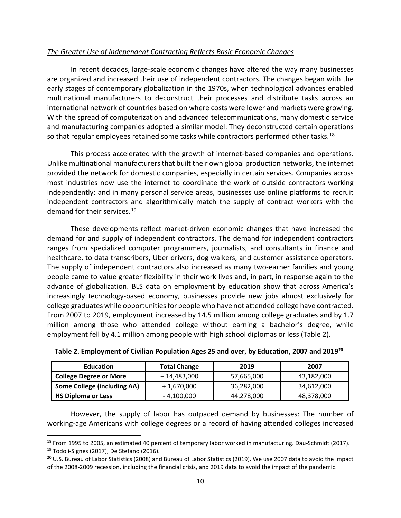## *The Greater Use of Independent Contracting Reflects Basic Economic Changes*

In recent decades, large-scale economic changes have altered the way many businesses are organized and increased their use of independent contractors. The changes began with the early stages of contemporary globalization in the 1970s, when technological advances enabled multinational manufacturers to deconstruct their processes and distribute tasks across an international network of countries based on where costs were lower and markets were growing. With the spread of computerization and advanced telecommunications, many domestic service and manufacturing companies adopted a similar model: They deconstructed certain operations so that regular employees retained some tasks while contractors performed other tasks.<sup>[18](#page-10-0)</sup>

This process accelerated with the growth of internet-based companies and operations. Unlike multinational manufacturers that built their own global production networks, the internet provided the network for domestic companies, especially in certain services. Companies across most industries now use the internet to coordinate the work of outside contractors working independently; and in many personal service areas, businesses use online platforms to recruit independent contractors and algorithmically match the supply of contract workers with the demand for their services.[19](#page-10-1)

These developments reflect market-driven economic changes that have increased the demand for and supply of independent contractors. The demand for independent contractors ranges from specialized computer programmers, journalists, and consultants in finance and healthcare, to data transcribers, Uber drivers, dog walkers, and customer assistance operators. The supply of independent contractors also increased as many two-earner families and young people came to value greater flexibility in their work lives and, in part, in response again to the advance of globalization. BLS data on employment by education show that across America's increasingly technology-based economy, businesses provide new jobs almost exclusively for college graduates while opportunities for people who have not attended college have contracted. From 2007 to 2019, employment increased by 14.5 million among college graduates and by 1.7 million among those who attended college without earning a bachelor's degree, while employment fell by 4.1 million among people with high school diplomas or less (Table 2).

| <b>Education</b>                   | <b>Total Change</b> | 2019       | 2007       |
|------------------------------------|---------------------|------------|------------|
| <b>College Degree or More</b>      | + 14,483,000        | 57,665,000 | 43,182,000 |
| <b>Some College (including AA)</b> | + 1,670,000         | 36,282,000 | 34,612,000 |
| <b>HS Diploma or Less</b>          | $-4,100,000$        | 44,278,000 | 48,378,000 |

| Table 2. Employment of Civilian Population Ages 25 and over, by Education, 2007 and 2019 <sup>20</sup> |  |  |  |  |
|--------------------------------------------------------------------------------------------------------|--|--|--|--|
|--------------------------------------------------------------------------------------------------------|--|--|--|--|

However, the supply of labor has outpaced demand by businesses: The number of working-age Americans with college degrees or a record of having attended colleges increased

<span id="page-10-1"></span><span id="page-10-0"></span><sup>&</sup>lt;sup>18</sup> From 1995 to 2005, an estimated 40 percent of temporary labor worked in manufacturing. Dau-Schmidt (2017). <sup>19</sup> Todoli-Signes (2017); De Stefano (2016).<br><sup>20</sup> U.S. Bureau of Labor Statistics (2008) and Bureau of Labor Statistics (2019). We use 2007 data to avoid the impact

<span id="page-10-2"></span>of the 2008-2009 recession, including the financial crisis, and 2019 data to avoid the impact of the pandemic.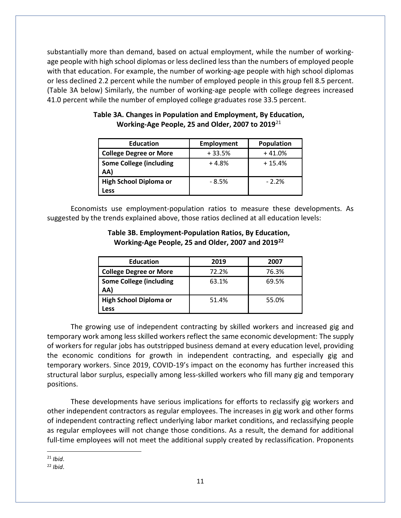substantially more than demand, based on actual employment, while the number of workingage people with high school diplomas or less declined less than the numbers of employed people with that education. For example, the number of working-age people with high school diplomas or less declined 2.2 percent while the number of employed people in this group fell 8.5 percent. (Table 3A below) Similarly, the number of working-age people with college degrees increased 41.0 percent while the number of employed college graduates rose 33.5 percent.

| <b>Education</b>                      | <b>Employment</b> | <b>Population</b> |
|---------------------------------------|-------------------|-------------------|
| <b>College Degree or More</b>         | $+33.5%$          | $+41.0%$          |
| <b>Some College (including</b><br>AA) | $+4.8%$           | $+15.4%$          |
| <b>High School Diploma or</b>         | $-8.5%$           | $-2.2%$           |
| Less                                  |                   |                   |

# **Table 3A. Changes in Population and Employment, By Education, Working-Age People, 25 and Older, 2007 to 2019**[21](#page-11-0)

Economists use employment-population ratios to measure these developments. As suggested by the trends explained above, those ratios declined at all education levels:

| <b>Education</b>               | 2019  | 2007  |
|--------------------------------|-------|-------|
| <b>College Degree or More</b>  | 72.2% | 76.3% |
| <b>Some College (including</b> | 63.1% | 69.5% |
| AA)                            |       |       |
| <b>High School Diploma or</b>  | 51.4% | 55.0% |
| .ess                           |       |       |

## **Table 3B. Employment-Population Ratios, By Education, Working-Age People, 25 and Older, 2007 and 2019[22](#page-11-1)**

The growing use of independent contracting by skilled workers and increased gig and temporary work among less skilled workers reflect the same economic development: The supply of workers for regular jobs has outstripped business demand at every education level, providing the economic conditions for growth in independent contracting, and especially gig and temporary workers. Since 2019, COVID-19's impact on the economy has further increased this structural labor surplus, especially among less-skilled workers who fill many gig and temporary positions.

These developments have serious implications for efforts to reclassify gig workers and other independent contractors as regular employees. The increases in gig work and other forms of independent contracting reflect underlying labor market conditions, and reclassifying people as regular employees will not change those conditions. As a result, the demand for additional full-time employees will not meet the additional supply created by reclassification. Proponents

<span id="page-11-1"></span><span id="page-11-0"></span><sup>21</sup> *Ibid*.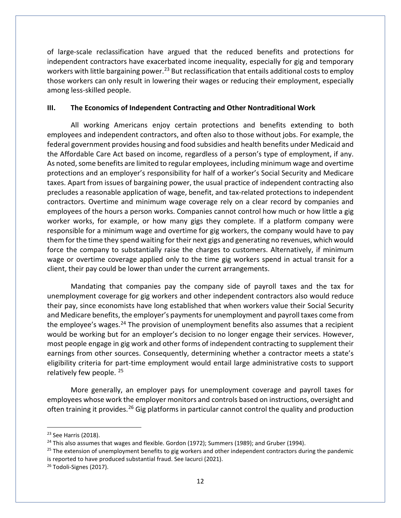of large-scale reclassification have argued that the reduced benefits and protections for independent contractors have exacerbated income inequality, especially for gig and temporary workers with little bargaining power.<sup>[23](#page-12-0)</sup> But reclassification that entails additional costs to employ those workers can only result in lowering their wages or reducing their employment, especially among less-skilled people.

## **III. The Economics of Independent Contracting and Other Nontraditional Work**

All working Americans enjoy certain protections and benefits extending to both employees and independent contractors, and often also to those without jobs. For example, the federal government provides housing and food subsidies and health benefits under Medicaid and the Affordable Care Act based on income, regardless of a person's type of employment, if any. As noted, some benefits are limited to regular employees, including minimum wage and overtime protections and an employer's responsibility for half of a worker's Social Security and Medicare taxes. Apart from issues of bargaining power, the usual practice of independent contracting also precludes a reasonable application of wage, benefit, and tax-related protections to independent contractors. Overtime and minimum wage coverage rely on a clear record by companies and employees of the hours a person works. Companies cannot control how much or how little a gig worker works, for example, or how many gigs they complete. If a platform company were responsible for a minimum wage and overtime for gig workers, the company would have to pay them for the time they spend waiting for their next gigs and generating no revenues, which would force the company to substantially raise the charges to customers. Alternatively, if minimum wage or overtime coverage applied only to the time gig workers spend in actual transit for a client, their pay could be lower than under the current arrangements.

Mandating that companies pay the company side of payroll taxes and the tax for unemployment coverage for gig workers and other independent contractors also would reduce their pay, since economists have long established that when workers value their Social Security and Medicare benefits, the employer's payments for unemployment and payroll taxes come from the employee's wages.<sup>[24](#page-12-1)</sup> The provision of unemployment benefits also assumes that a recipient would be working but for an employer's decision to no longer engage their services. However, most people engage in gig work and other forms of independent contracting to supplement their earnings from other sources. Consequently, determining whether a contractor meets a state's eligibility criteria for part-time employment would entail large administrative costs to support relatively few people. [25](#page-12-2)

More generally, an employer pays for unemployment coverage and payroll taxes for employees whose work the employer monitors and controls based on instructions, oversight and often training it provides.<sup>[26](#page-12-3)</sup> Gig platforms in particular cannot control the quality and production

<span id="page-12-0"></span><sup>&</sup>lt;sup>23</sup> See Harris (2018).

<span id="page-12-1"></span><sup>&</sup>lt;sup>24</sup> This also assumes that wages and flexible. Gordon (1972); Summers (1989); and Gruber (1994).

<span id="page-12-2"></span><sup>&</sup>lt;sup>25</sup> The extension of unemployment benefits to gig workers and other independent contractors during the pandemic is reported to have produced substantial fraud. See Iacurci (2021).

<span id="page-12-3"></span><sup>&</sup>lt;sup>26</sup> Todoli-Signes (2017).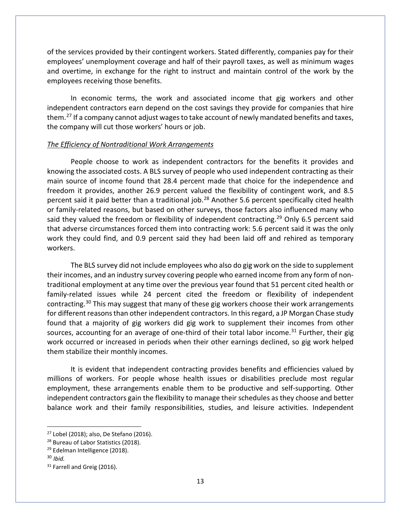of the services provided by their contingent workers. Stated differently, companies pay for their employees' unemployment coverage and half of their payroll taxes, as well as minimum wages and overtime, in exchange for the right to instruct and maintain control of the work by the employees receiving those benefits.

In economic terms, the work and associated income that gig workers and other independent contractors earn depend on the cost savings they provide for companies that hire them.<sup>27</sup> If a company cannot adjust wages to take account of newly mandated benefits and taxes, the company will cut those workers' hours or job.

#### *The Efficiency of Nontraditional Work Arrangements*

People choose to work as independent contractors for the benefits it provides and knowing the associated costs. A BLS survey of people who used independent contracting as their main source of income found that 28.4 percent made that choice for the independence and freedom it provides, another 26.9 percent valued the flexibility of contingent work, and 8.5 percent said it paid better than a traditional job.<sup>[28](#page-13-1)</sup> Another 5.6 percent specifically cited health or family-related reasons, but based on other surveys, those factors also influenced many who said they valued the freedom or flexibility of independent contracting.<sup>[29](#page-13-2)</sup> Only 6.5 percent said that adverse circumstances forced them into contracting work: 5.6 percent said it was the only work they could find, and 0.9 percent said they had been laid off and rehired as temporary workers.

The BLS survey did not include employees who also do gig work on the side to supplement their incomes, and an industry survey covering people who earned income from any form of nontraditional employment at any time over the previous year found that 51 percent cited health or family-related issues while 24 percent cited the freedom or flexibility of independent contracting.<sup>[30](#page-13-3)</sup> This may suggest that many of these gig workers choose their work arrangements for different reasons than other independent contractors. In this regard, a JP Morgan Chase study found that a majority of gig workers did gig work to supplement their incomes from other sources, accounting for an average of one-third of their total labor income.<sup>[31](#page-13-4)</sup> Further, their gig work occurred or increased in periods when their other earnings declined, so gig work helped them stabilize their monthly incomes.

It is evident that independent contracting provides benefits and efficiencies valued by millions of workers. For people whose health issues or disabilities preclude most regular employment, these arrangements enable them to be productive and self-supporting. Other independent contractors gain the flexibility to manage their schedules as they choose and better balance work and their family responsibilities, studies, and leisure activities. Independent

<span id="page-13-0"></span> $27$  Lobel (2018); also, De Stefano (2016).

<span id="page-13-1"></span><sup>&</sup>lt;sup>28</sup> Bureau of Labor Statistics (2018).

<span id="page-13-2"></span><sup>&</sup>lt;sup>29</sup> Edelman Intelligence (2018).

<span id="page-13-3"></span><sup>30</sup> *Ibid.*

<span id="page-13-4"></span><sup>&</sup>lt;sup>31</sup> Farrell and Greig (2016).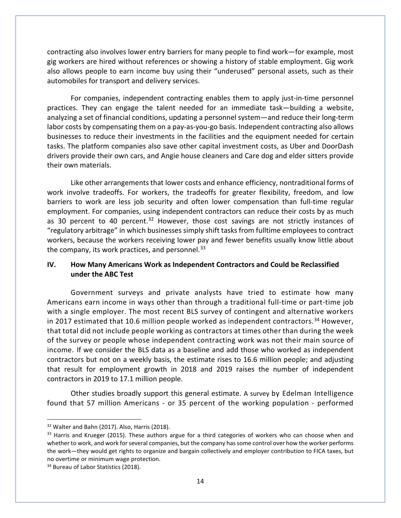contracting also involves lower entry barriers for many people to find work—for example, most gig workers are hired without references or showing a history of stable employment. Gig work also allows people to earn income buy using their "underused" personal assets, such as their automobiles for transport and delivery services.

For companies, independent contracting enables them to apply just-in-time personnel practices. They can engage the talent needed for an immediate task—building a website, analyzing a set of financial conditions, updating a personnel system—and reduce their long-term labor costs by compensating them on a pay-as-you-go basis. Independent contracting also allows businesses to reduce their investments in the facilities and the equipment needed for certain tasks. The platform companies also save other capital investment costs, as Uber and DoorDash drivers provide their own cars, and Angie house cleaners and Care dog and elder sitters provide their own materials.

Like other arrangements that lower costs and enhance efficiency, nontraditional forms of work involve tradeoffs. For workers, the tradeoffs for greater flexibility, freedom, and low barriers to work are less job security and often lower compensation than full-time regular employment. For companies, using independent contractors can reduce their costs by as much as 30 percent to 40 percent.<sup>[32](#page-14-0)</sup> However, those cost savings are not strictly instances of "regulatory arbitrage" in which businesses simply shift tasks from fulltime employees to contract workers, because the workers receiving lower pay and fewer benefits usually know little about the company, its work practices, and personnel.<sup>[33](#page-14-1)</sup>

## **IV. How Many Americans Work as Independent Contractors and Could be Reclassified under the ABC Test**

Government surveys and private analysts have tried to estimate how many Americans earn income in ways other than through a traditional full-time or part-time job with a single employer. The most recent BLS survey of contingent and alternative workers in 2017 estimated that 10.6 million people worked as independent contractors.<sup>[34](#page-14-2)</sup> However, that total did not include people working as contractors at times other than during the week of the survey or people whose independent contracting work was not their main source of income. If we consider the BLS data as a baseline and add those who worked as independent contractors but not on a weekly basis, the estimate rises to 16.6 million people; and adjusting that result for employment growth in 2018 and 2019 raises the number of independent contractors in 2019 to 17.1 million people.

Other studies broadly support this general estimate. A survey by Edelman Intelligence found that 57 million Americans - or 35 percent of the working population - performed

<span id="page-14-2"></span><sup>34</sup> Bureau of Labor Statistics (2018).

<span id="page-14-0"></span><sup>&</sup>lt;sup>32</sup> Walter and Bahn (2017). Also, Harris (2018).

<span id="page-14-1"></span> $33$  Harris and Krueger (2015). These authors argue for a third categories of workers who can choose when and whether to work, and work for several companies, but the company has some control over how the worker performs the work—they would get rights to organize and bargain collectively and employer contribution to FICA taxes, but no overtime or minimum wage protection.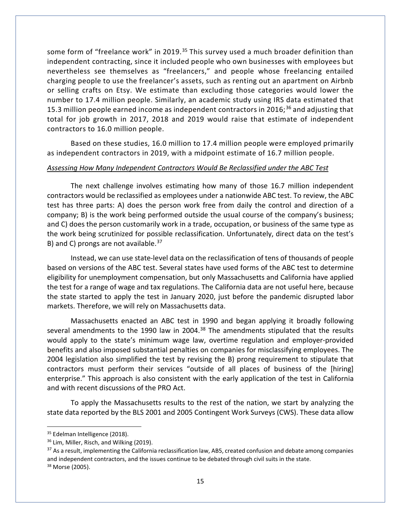some form of "freelance work" in 2019.<sup>[35](#page-15-0)</sup> This survey used a much broader definition than independent contracting, since it included people who own businesses with employees but nevertheless see themselves as "freelancers," and people whose freelancing entailed charging people to use the freelancer's assets, such as renting out an apartment on Airbnb or selling crafts on Etsy. We estimate than excluding those categories would lower the number to 17.4 million people. Similarly, an academic study using IRS data estimated that 15.3 million people earned income as independent contractors in 2016; $36$  and adjusting that total for job growth in 2017, 2018 and 2019 would raise that estimate of independent contractors to 16.0 million people.

Based on these studies, 16.0 million to 17.4 million people were employed primarily as independent contractors in 2019, with a midpoint estimate of 16.7 million people.

#### *Assessing How Many Independent Contractors Would Be Reclassified under the ABC Test*

The next challenge involves estimating how many of those 16.7 million independent contractors would be reclassified as employees under a nationwide ABC test. To review, the ABC test has three parts: A) does the person work free from daily the control and direction of a company; B) is the work being performed outside the usual course of the company's business; and C) does the person customarily work in a trade, occupation, or business of the same type as the work being scrutinized for possible reclassification. Unfortunately, direct data on the test's B) and C) prongs are not available.<sup>[37](#page-15-2)</sup>

Instead, we can use state-level data on the reclassification of tens of thousands of people based on versions of the ABC test. Several states have used forms of the ABC test to determine eligibility for unemployment compensation, but only Massachusetts and California have applied the test for a range of wage and tax regulations. The California data are not useful here, because the state started to apply the test in January 2020, just before the pandemic disrupted labor markets. Therefore, we will rely on Massachusetts data.

Massachusetts enacted an ABC test in 1990 and began applying it broadly following several amendments to the 1990 law in 2004.<sup>[38](#page-15-3)</sup> The amendments stipulated that the results would apply to the state's minimum wage law, overtime regulation and employer-provided benefits and also imposed substantial penalties on companies for misclassifying employees. The 2004 legislation also simplified the test by revising the B) prong requirement to stipulate that contractors must perform their services "outside of all places of business of the [hiring] enterprise." This approach is also consistent with the early application of the test in California and with recent discussions of the PRO Act.

To apply the Massachusetts results to the rest of the nation, we start by analyzing the state data reported by the BLS 2001 and 2005 Contingent Work Surveys (CWS). These data allow

<span id="page-15-0"></span><sup>&</sup>lt;sup>35</sup> Edelman Intelligence (2018).

<span id="page-15-1"></span><sup>&</sup>lt;sup>36</sup> Lim, Miller, Risch, and Wilking (2019).

<span id="page-15-3"></span><span id="page-15-2"></span><sup>&</sup>lt;sup>37</sup> As a result, implementing the California reclassification law, AB5, created confusion and debate among companies and independent contractors, and the issues continue to be debated through civil suits in the state. <sup>38</sup> Morse (2005).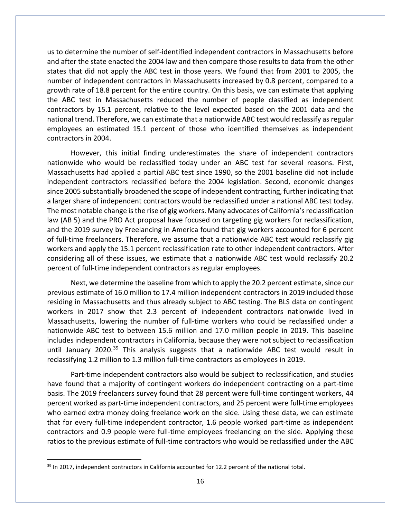us to determine the number of self-identified independent contractors in Massachusetts before and after the state enacted the 2004 law and then compare those results to data from the other states that did not apply the ABC test in those years. We found that from 2001 to 2005, the number of independent contractors in Massachusetts increased by 0.8 percent, compared to a growth rate of 18.8 percent for the entire country. On this basis, we can estimate that applying the ABC test in Massachusetts reduced the number of people classified as independent contractors by 15.1 percent, relative to the level expected based on the 2001 data and the national trend. Therefore, we can estimate that a nationwide ABC test would reclassify as regular employees an estimated 15.1 percent of those who identified themselves as independent contractors in 2004.

However, this initial finding underestimates the share of independent contractors nationwide who would be reclassified today under an ABC test for several reasons. First, Massachusetts had applied a partial ABC test since 1990, so the 2001 baseline did not include independent contractors reclassified before the 2004 legislation. Second, economic changes since 2005 substantially broadened the scope of independent contracting, further indicating that a larger share of independent contractors would be reclassified under a national ABC test today. The most notable change is the rise of gig workers. Many advocates of California's reclassification law (AB 5) and the PRO Act proposal have focused on targeting gig workers for reclassification, and the 2019 survey by Freelancing in America found that gig workers accounted for 6 percent of full-time freelancers. Therefore, we assume that a nationwide ABC test would reclassify gig workers and apply the 15.1 percent reclassification rate to other independent contractors. After considering all of these issues, we estimate that a nationwide ABC test would reclassify 20.2 percent of full-time independent contractors as regular employees.

Next, we determine the baseline from which to apply the 20.2 percent estimate, since our previous estimate of 16.0 million to 17.4 million independent contractors in 2019 included those residing in Massachusetts and thus already subject to ABC testing. The BLS data on contingent workers in 2017 show that 2.3 percent of independent contractors nationwide lived in Massachusetts, lowering the number of full-time workers who could be reclassified under a nationwide ABC test to between 15.6 million and 17.0 million people in 2019. This baseline includes independent contractors in California, because they were not subject to reclassification until January 2020.<sup>[39](#page-16-0)</sup> This analysis suggests that a nationwide ABC test would result in reclassifying 1.2 million to 1.3 million full-time contractors as employees in 2019.

Part-time independent contractors also would be subject to reclassification, and studies have found that a majority of contingent workers do independent contracting on a part-time basis. The 2019 freelancers survey found that 28 percent were full-time contingent workers, 44 percent worked as part-time independent contractors, and 25 percent were full-time employees who earned extra money doing freelance work on the side. Using these data, we can estimate that for every full-time independent contractor, 1.6 people worked part-time as independent contractors and 0.9 people were full-time employees freelancing on the side. Applying these ratios to the previous estimate of full-time contractors who would be reclassified under the ABC

<span id="page-16-0"></span><sup>&</sup>lt;sup>39</sup> In 2017, independent contractors in California accounted for 12.2 percent of the national total.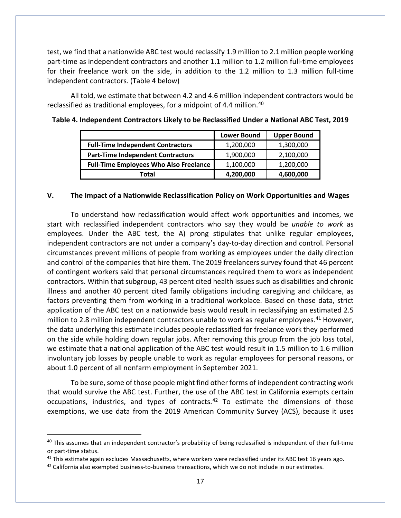test, we find that a nationwide ABC test would reclassify 1.9 million to 2.1 million people working part-time as independent contractors and another 1.1 million to 1.2 million full-time employees for their freelance work on the side, in addition to the 1.2 million to 1.3 million full-time independent contractors. (Table 4 below)

All told, we estimate that between 4.2 and 4.6 million independent contractors would be reclassified as traditional employees, for a midpoint of 4.4 million. [40](#page-17-0)

|                                               | <b>Lower Bound</b> | <b>Upper Bound</b> |
|-----------------------------------------------|--------------------|--------------------|
| <b>Full-Time Independent Contractors</b>      | 1,200,000          | 1,300,000          |
| <b>Part-Time Independent Contractors</b>      | 1,900,000          | 2,100,000          |
| <b>Full-Time Employees Who Also Freelance</b> | 1,100,000          | 1,200,000          |
| Total                                         | 4,200,000          | 4,600,000          |

## **Table 4. Independent Contractors Likely to be Reclassified Under a National ABC Test, 2019**

#### **V. The Impact of a Nationwide Reclassification Policy on Work Opportunities and Wages**

To understand how reclassification would affect work opportunities and incomes, we start with reclassified independent contractors who say they would be *unable to work* as employees. Under the ABC test, the A) prong stipulates that unlike regular employees, independent contractors are not under a company's day-to-day direction and control. Personal circumstances prevent millions of people from working as employees under the daily direction and control of the companies that hire them. The 2019 freelancers survey found that 46 percent of contingent workers said that personal circumstances required them to work as independent contractors. Within that subgroup, 43 percent cited health issues such as disabilities and chronic illness and another 40 percent cited family obligations including caregiving and childcare, as factors preventing them from working in a traditional workplace. Based on those data, strict application of the ABC test on a nationwide basis would result in reclassifying an estimated 2.5 million to 2.8 million independent contractors unable to work as regular employees.<sup>[41](#page-17-1)</sup> However, the data underlying this estimate includes people reclassified for freelance work they performed on the side while holding down regular jobs. After removing this group from the job loss total, we estimate that a national application of the ABC test would result in 1.5 million to 1.6 million involuntary job losses by people unable to work as regular employees for personal reasons, or about 1.0 percent of all nonfarm employment in September 2021.

To be sure, some of those people might find other forms of independent contracting work that would survive the ABC test. Further, the use of the ABC test in California exempts certain occupations, industries, and types of contracts. $42$  To estimate the dimensions of those exemptions, we use data from the 2019 American Community Survey (ACS), because it uses

<span id="page-17-0"></span> $40$  This assumes that an independent contractor's probability of being reclassified is independent of their full-time or part-time status.

<span id="page-17-1"></span><sup>&</sup>lt;sup>41</sup> This estimate again excludes Massachusetts, where workers were reclassified under its ABC test 16 years ago.

<span id="page-17-2"></span> $42$  California also exempted business-to-business transactions, which we do not include in our estimates.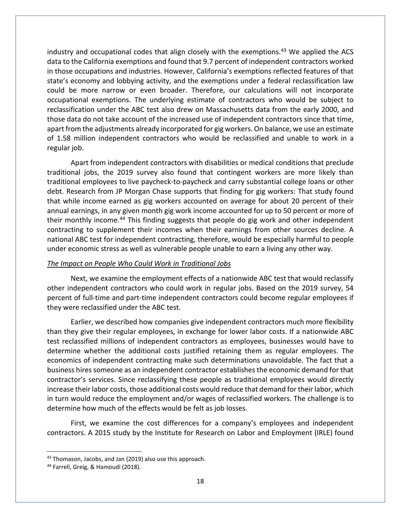industry and occupational codes that align closely with the exemptions.<sup>[43](#page-18-0)</sup> We applied the ACS data to the California exemptions and found that 9.7 percent of independent contractors worked in those occupations and industries. However, California's exemptions reflected features of that state's economy and lobbying activity, and the exemptions under a federal reclassification law could be more narrow or even broader. Therefore, our calculations will not incorporate occupational exemptions. The underlying estimate of contractors who would be subject to reclassification under the ABC test also drew on Massachusetts data from the early 2000, and those data do not take account of the increased use of independent contractors since that time, apart from the adjustments already incorporated for gig workers. On balance, we use an estimate of 1.58 million independent contractors who would be reclassified and unable to work in a regular job.

Apart from independent contractors with disabilities or medical conditions that preclude traditional jobs, the 2019 survey also found that contingent workers are more likely than traditional employees to live paycheck-to-paycheck and carry substantial college loans or other debt. Research from JP Morgan Chase supports that finding for gig workers: That study found that while income earned as gig workers accounted on average for about 20 percent of their annual earnings, in any given month gig work income accounted for up to 50 percent or more of their monthly income.<sup>[44](#page-18-1)</sup> This finding suggests that people do gig work and other independent contracting to supplement their incomes when their earnings from other sources decline. A national ABC test for independent contracting, therefore, would be especially harmful to people under economic stress as well as vulnerable people unable to earn a living any other way.

#### *The Impact on People Who Could Work in Traditional Jobs*

Next, we examine the employment effects of a nationwide ABC test that would reclassify other independent contractors who could work in regular jobs. Based on the 2019 survey, 54 percent of full-time and part-time independent contractors could become regular employees if they were reclassified under the ABC test.

Earlier, we described how companies give independent contractors much more flexibility than they give their regular employees, in exchange for lower labor costs. If a nationwide ABC test reclassified millions of independent contractors as employees, businesses would have to determine whether the additional costs justified retaining them as regular employees. The economics of independent contracting make such determinations unavoidable. The fact that a business hires someone as an independent contractor establishes the economic demand for that contractor's services. Since reclassifying these people as traditional employees would directly increase their labor costs, those additional costs would reduce that demand for their labor, which in turn would reduce the employment and/or wages of reclassified workers. The challenge is to determine how much of the effects would be felt as job losses.

First, we examine the cost differences for a company's employees and independent contractors. A 2015 study by the Institute for Research on Labor and Employment (IRLE) found

<span id="page-18-1"></span><span id="page-18-0"></span><sup>&</sup>lt;sup>43</sup> Thomason, Jacobs, and Jan (2019) also use this approach.<br><sup>44</sup> Farrell, Greig, & Hamoudi (2018).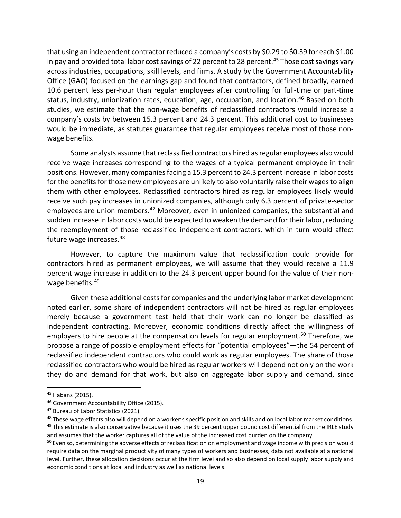that using an independent contractor reduced a company's costs by \$0.29 to \$0.39 for each \$1.00 in pay and provided total labor cost savings of 22 percent to 28 percent.<sup>[45](#page-19-0)</sup> Those cost savings vary across industries, occupations, skill levels, and firms. A study by the Government Accountability Office (GAO) focused on the earnings gap and found that contractors, defined broadly, earned 10.6 percent less per-hour than regular employees after controlling for full-time or part-time status, industry, unionization rates, education, age, occupation, and location.<sup>[46](#page-19-1)</sup> Based on both studies, we estimate that the non-wage benefits of reclassified contractors would increase a company's costs by between 15.3 percent and 24.3 percent. This additional cost to businesses would be immediate, as statutes guarantee that regular employees receive most of those nonwage benefits.

Some analysts assume that reclassified contractors hired as regular employees also would receive wage increases corresponding to the wages of a typical permanent employee in their positions. However, many companies facing a 15.3 percent to 24.3 percent increase in labor costs for the benefits for those new employees are unlikely to also voluntarily raise their wages to align them with other employees. Reclassified contractors hired as regular employees likely would receive such pay increases in unionized companies, although only 6.3 percent of private-sector employees are union members.<sup>[47](#page-19-2)</sup> Moreover, even in unionized companies, the substantial and sudden increase in labor costs would be expected to weaken the demand for their labor, reducing the reemployment of those reclassified independent contractors, which in turn would affect future wage increases.<sup>[48](#page-19-3)</sup>

However, to capture the maximum value that reclassification could provide for contractors hired as permanent employees, we will assume that they would receive a 11.9 percent wage increase in addition to the 24.3 percent upper bound for the value of their non-wage benefits.<sup>[49](#page-19-4)</sup>

Given these additional costs for companies and the underlying labor market development noted earlier, some share of independent contractors will not be hired as regular employees merely because a government test held that their work can no longer be classified as independent contracting. Moreover, economic conditions directly affect the willingness of employers to hire people at the compensation levels for regular employment.<sup>[50](#page-19-5)</sup> Therefore, we propose a range of possible employment effects for "potential employees"—the 54 percent of reclassified independent contractors who could work as regular employees. The share of those reclassified contractors who would be hired as regular workers will depend not only on the work they do and demand for that work, but also on aggregate labor supply and demand, since

<span id="page-19-1"></span><span id="page-19-0"></span><sup>&</sup>lt;sup>45</sup> Habans (2015).<br><sup>46</sup> Government Accountability Office (2015).<br><sup>47</sup> Bureau of Labor Statistics (2021).

<span id="page-19-4"></span><span id="page-19-3"></span><span id="page-19-2"></span><sup>&</sup>lt;sup>48</sup> These wage effects also will depend on a worker's specific position and skills and on local labor market conditions.  $49$  This estimate is also conservative because it uses the 39 percent upper bound cost differential from the IRLE study and assumes that the worker captures all of the value of the increased cost burden on the company.

<span id="page-19-5"></span><sup>&</sup>lt;sup>50</sup> Even so, determining the adverse effects of reclassification on employment and wage income with precision would require data on the marginal productivity of many types of workers and businesses, data not available at a national level. Further, these allocation decisions occur at the firm level and so also depend on local supply labor supply and economic conditions at local and industry as well as national levels.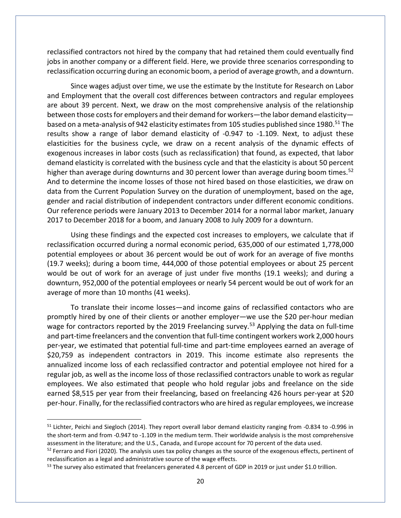reclassified contractors not hired by the company that had retained them could eventually find jobs in another company or a different field. Here, we provide three scenarios corresponding to reclassification occurring during an economic boom, a period of average growth, and a downturn.

Since wages adjust over time, we use the estimate by the Institute for Research on Labor and Employment that the overall cost differences between contractors and regular employees are about 39 percent. Next, we draw on the most comprehensive analysis of the relationship between those costs for employers and their demand for workers—the labor demand elasticity based on a meta-analysis of 942 elasticity estimates from 105 studies published since 1980.<sup>51</sup> The results show a range of labor demand elasticity of -0.947 to -1.109. Next, to adjust these elasticities for the business cycle, we draw on a recent analysis of the dynamic effects of exogenous increases in labor costs (such as reclassification) that found, as expected, that labor demand elasticity is correlated with the business cycle and that the elasticity is about 50 percent higher than average during downturns and 30 percent lower than average during boom times.<sup>[52](#page-20-1)</sup> And to determine the income losses of those not hired based on those elasticities, we draw on data from the Current Population Survey on the duration of unemployment, based on the age, gender and racial distribution of independent contractors under different economic conditions. Our reference periods were January 2013 to December 2014 for a normal labor market, January 2017 to December 2018 for a boom, and January 2008 to July 2009 for a downturn.

Using these findings and the expected cost increases to employers, we calculate that if reclassification occurred during a normal economic period, 635,000 of our estimated 1,778,000 potential employees or about 36 percent would be out of work for an average of five months (19.7 weeks); during a boom time, 444,000 of those potential employees or about 25 percent would be out of work for an average of just under five months (19.1 weeks); and during a downturn, 952,000 of the potential employees or nearly 54 percent would be out of work for an average of more than 10 months (41 weeks).

To translate their income losses—and income gains of reclassified contactors who are promptly hired by one of their clients or another employer—we use the \$20 per-hour median wage for contractors reported by the 2019 Freelancing survey.<sup>[53](#page-20-2)</sup> Applying the data on full-time and part-time freelancers and the convention that full-time contingent workers work 2,000 hours per-year, we estimated that potential full-time and part-time employees earned an average of \$20,759 as independent contractors in 2019. This income estimate also represents the annualized income loss of each reclassified contractor and potential employee not hired for a regular job, as well as the income loss of those reclassified contractors unable to work as regular employees. We also estimated that people who hold regular jobs and freelance on the side earned \$8,515 per year from their freelancing, based on freelancing 426 hours per-year at \$20 per-hour. Finally, for the reclassified contractors who are hired as regular employees, we increase

<span id="page-20-0"></span><sup>&</sup>lt;sup>51</sup> Lichter, Peichi and Siegloch (2014). They report overall labor demand elasticity ranging from -0.834 to -0.996 in the short-term and from -0.947 to -1.109 in the medium term. Their worldwide analysis is the most comprehensive assessment in the literature; and the U.S., Canada, and Europe account for 70 percent of the data used.

<span id="page-20-1"></span> $52$  Ferraro and Fiori (2020). The analysis uses tax policy changes as the source of the exogenous effects, pertinent of reclassification as a legal and administrative source of the wage effects.

<span id="page-20-2"></span><sup>&</sup>lt;sup>53</sup> The survey also estimated that freelancers generated 4.8 percent of GDP in 2019 or just under \$1.0 trillion.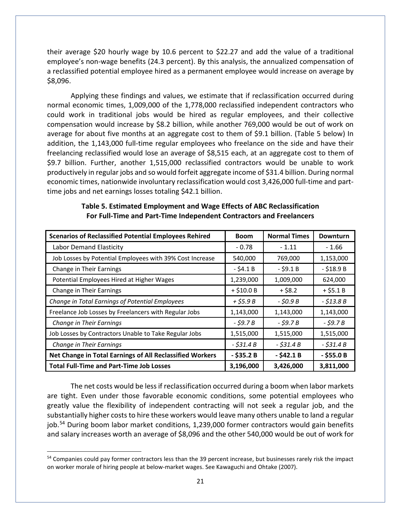their average \$20 hourly wage by 10.6 percent to \$22.27 and add the value of a traditional employee's non-wage benefits (24.3 percent). By this analysis, the annualized compensation of a reclassified potential employee hired as a permanent employee would increase on average by \$8,096.

Applying these findings and values, we estimate that if reclassification occurred during normal economic times, 1,009,000 of the 1,778,000 reclassified independent contractors who could work in traditional jobs would be hired as regular employees, and their collective compensation would increase by \$8.2 billion, while another 769,000 would be out of work on average for about five months at an aggregate cost to them of \$9.1 billion. (Table 5 below) In addition, the 1,143,000 full-time regular employees who freelance on the side and have their freelancing reclassified would lose an average of \$8,515 each, at an aggregate cost to them of \$9.7 billion. Further, another 1,515,000 reclassified contractors would be unable to work productively in regular jobs and so would forfeit aggregate income of \$31.4 billion. During normal economic times, nationwide involuntary reclassification would cost 3,426,000 full-time and parttime jobs and net earnings losses totaling \$42.1 billion.

| <b>Scenarios of Reclassified Potential Employees Rehired</b> | <b>Boom</b>  | <b>Normal Times</b> | <b>Downturn</b> |
|--------------------------------------------------------------|--------------|---------------------|-----------------|
| <b>Labor Demand Elasticity</b>                               | $-0.78$      | $-1.11$             | - 1.66          |
| Job Losses by Potential Employees with 39% Cost Increase     | 540,000      | 769,000             | 1,153,000       |
| Change in Their Earnings                                     | $-$ \$4.1 B  | - \$9.1 B           | $-$ \$18.9B     |
| Potential Employees Hired at Higher Wages                    | 1,239,000    | 1,009,000           | 624,000         |
| Change in Their Earnings                                     | $+$ \$10.0 B | $+ $8.2$            | $+ $5.1 B$      |
| Change in Total Earnings of Potential Employees              | $+$ \$5.9 B  | - \$0.9 B           | $- $13.8 B$     |
| Freelance Job Losses by Freelancers with Regular Jobs        | 1,143,000    | 1,143,000           | 1,143,000       |
| Change in Their Earnings                                     | $-$ \$9.7 B  | $-$ \$9.7 B         | $-$ \$9.7 B     |
| Job Losses by Contractors Unable to Take Regular Jobs        | 1,515,000    | 1,515,000           | 1,515,000       |
| Change in Their Earnings                                     | $-$ \$31.4 B | $-$ \$31.4 B        | $-$ \$31.4 B    |
| Net Change in Total Earnings of All Reclassified Workers     | $-$ \$35.2B  | $-$ \$42.1 B        | $-$ \$55.0 B    |
| <b>Total Full-Time and Part-Time Job Losses</b>              | 3,196,000    | 3,426,000           | 3,811,000       |

### **Table 5. Estimated Employment and Wage Effects of ABC Reclassification For Full-Time and Part-Time Independent Contractors and Freelancers**

The net costs would be less if reclassification occurred during a boom when labor markets are tight. Even under those favorable economic conditions, some potential employees who greatly value the flexibility of independent contracting will not seek a regular job, and the substantially higher costs to hire these workers would leave many others unable to land a regular job.<sup>[54](#page-21-0)</sup> During boom labor market conditions, 1,239,000 former contractors would gain benefits and salary increases worth an average of \$8,096 and the other 540,000 would be out of work for

<span id="page-21-0"></span><sup>&</sup>lt;sup>54</sup> Companies could pay former contractors less than the 39 percent increase, but businesses rarely risk the impact on worker morale of hiring people at below-market wages. See Kawaguchi and Ohtake (2007).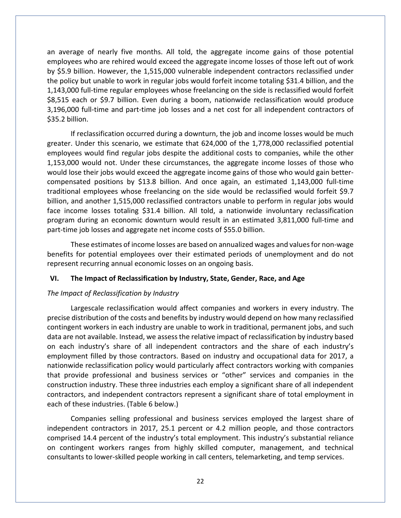an average of nearly five months. All told, the aggregate income gains of those potential employees who are rehired would exceed the aggregate income losses of those left out of work by \$5.9 billion. However, the 1,515,000 vulnerable independent contractors reclassified under the policy but unable to work in regular jobs would forfeit income totaling \$31.4 billion, and the 1,143,000 full-time regular employees whose freelancing on the side is reclassified would forfeit \$8,515 each or \$9.7 billion. Even during a boom, nationwide reclassification would produce 3,196,000 full-time and part-time job losses and a net cost for all independent contractors of \$35.2 billion.

If reclassification occurred during a downturn, the job and income losses would be much greater. Under this scenario, we estimate that 624,000 of the 1,778,000 reclassified potential employees would find regular jobs despite the additional costs to companies, while the other 1,153,000 would not. Under these circumstances, the aggregate income losses of those who would lose their jobs would exceed the aggregate income gains of those who would gain bettercompensated positions by \$13.8 billion. And once again, an estimated 1,143,000 full-time traditional employees whose freelancing on the side would be reclassified would forfeit \$9.7 billion, and another 1,515,000 reclassified contractors unable to perform in regular jobs would face income losses totaling \$31.4 billion. All told, a nationwide involuntary reclassification program during an economic downturn would result in an estimated 3,811,000 full-time and part-time job losses and aggregate net income costs of \$55.0 billion.

These estimates of income losses are based on annualized wages and values for non-wage benefits for potential employees over their estimated periods of unemployment and do not represent recurring annual economic losses on an ongoing basis.

#### **VI. The Impact of Reclassification by Industry, State, Gender, Race, and Age**

## *The Impact of Reclassification by Industry*

Largescale reclassification would affect companies and workers in every industry. The precise distribution of the costs and benefits by industry would depend on how many reclassified contingent workers in each industry are unable to work in traditional, permanent jobs, and such data are not available. Instead, we assess the relative impact of reclassification by industry based on each industry's share of all independent contractors and the share of each industry's employment filled by those contractors. Based on industry and occupational data for 2017, a nationwide reclassification policy would particularly affect contractors working with companies that provide professional and business services or "other" services and companies in the construction industry. These three industries each employ a significant share of all independent contractors, and independent contractors represent a significant share of total employment in each of these industries. (Table 6 below.)

Companies selling professional and business services employed the largest share of independent contractors in 2017, 25.1 percent or 4.2 million people, and those contractors comprised 14.4 percent of the industry's total employment. This industry's substantial reliance on contingent workers ranges from highly skilled computer, management, and technical consultants to lower-skilled people working in call centers, telemarketing, and temp services.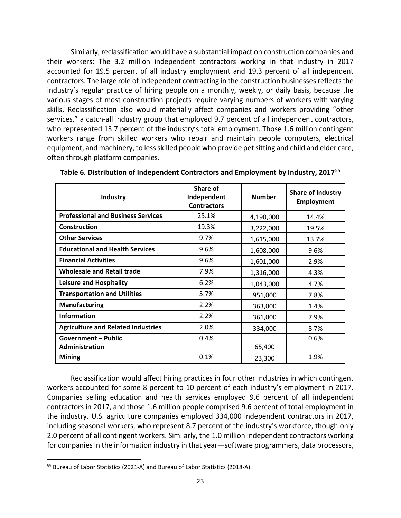Similarly, reclassification would have a substantial impact on construction companies and their workers: The 3.2 million independent contractors working in that industry in 2017 accounted for 19.5 percent of all industry employment and 19.3 percent of all independent contractors. The large role of independent contracting in the construction businesses reflects the industry's regular practice of hiring people on a monthly, weekly, or daily basis, because the various stages of most construction projects require varying numbers of workers with varying skills. Reclassification also would materially affect companies and workers providing "other services," a catch-all industry group that employed 9.7 percent of all independent contractors, who represented 13.7 percent of the industry's total employment. Those 1.6 million contingent workers range from skilled workers who repair and maintain people computers, electrical equipment, and machinery, to less skilled people who provide pet sitting and child and elder care, often through platform companies.

| Industry                                     | Share of<br>Independent<br><b>Contractors</b> | <b>Number</b> | <b>Share of Industry</b><br><b>Employment</b> |
|----------------------------------------------|-----------------------------------------------|---------------|-----------------------------------------------|
| <b>Professional and Business Services</b>    | 25.1%                                         | 4,190,000     | 14.4%                                         |
| Construction                                 | 19.3%                                         | 3,222,000     | 19.5%                                         |
| <b>Other Services</b>                        | 9.7%                                          | 1,615,000     | 13.7%                                         |
| <b>Educational and Health Services</b>       | 9.6%                                          | 1,608,000     | 9.6%                                          |
| <b>Financial Activities</b>                  | 9.6%                                          | 1,601,000     | 2.9%                                          |
| <b>Wholesale and Retail trade</b>            | 7.9%                                          | 1,316,000     | 4.3%                                          |
| <b>Leisure and Hospitality</b>               | 6.2%                                          | 1,043,000     | 4.7%                                          |
| <b>Transportation and Utilities</b>          | 5.7%                                          | 951,000       | 7.8%                                          |
| <b>Manufacturing</b>                         | 2.2%                                          | 363,000       | 1.4%                                          |
| Information                                  | 2.2%                                          | 361,000       | 7.9%                                          |
| <b>Agriculture and Related Industries</b>    | 2.0%                                          | 334,000       | 8.7%                                          |
| <b>Government - Public</b><br>Administration | 0.4%                                          | 65,400        | 0.6%                                          |
| <b>Mining</b>                                | 0.1%                                          | 23,300        | 1.9%                                          |

**Table 6. Distribution of Independent Contractors and Employment by Industry, 2017**[55](#page-23-0)

Reclassification would affect hiring practices in four other industries in which contingent workers accounted for some 8 percent to 10 percent of each industry's employment in 2017. Companies selling education and health services employed 9.6 percent of all independent contractors in 2017, and those 1.6 million people comprised 9.6 percent of total employment in the industry. U.S. agriculture companies employed 334,000 independent contractors in 2017, including seasonal workers, who represent 8.7 percent of the industry's workforce, though only 2.0 percent of all contingent workers. Similarly, the 1.0 million independent contractors working for companies in the information industry in that year—software programmers, data processors,

<span id="page-23-0"></span><sup>55</sup> Bureau of Labor Statistics (2021-A) and Bureau of Labor Statistics (2018-A).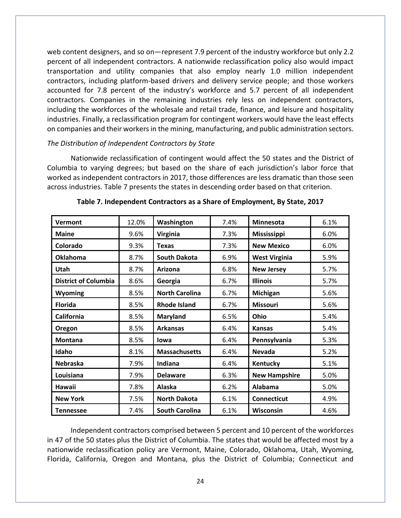web content designers, and so on—represent 7.9 percent of the industry workforce but only 2.2 percent of all independent contractors. A nationwide reclassification policy also would impact transportation and utility companies that also employ nearly 1.0 million independent contractors, including platform-based drivers and delivery service people; and those workers accounted for 7.8 percent of the industry's workforce and 5.7 percent of all independent contractors. Companies in the remaining industries rely less on independent contractors, including the workforces of the wholesale and retail trade, finance, and leisure and hospitality industries. Finally, a reclassification program for contingent workers would have the least effects on companies and their workers in the mining, manufacturing, and public administration sectors.

## *The Distribution of Independent Contractors by State*

Nationwide reclassification of contingent would affect the 50 states and the District of Columbia to varying degrees; but based on the share of each jurisdiction's labor force that worked as independent contractors in 2017, those differences are less dramatic than those seen across industries. Table 7 presents the states in descending order based on that criterion.

| Vermont                     | 12.0% | Washington            | 7.4% | <b>Minnesota</b>     | 6.1% |
|-----------------------------|-------|-----------------------|------|----------------------|------|
| <b>Maine</b>                | 9.6%  | Virginia              | 7.3% | <b>Mississippi</b>   | 6.0% |
| Colorado                    | 9.3%  | <b>Texas</b>          | 7.3% | <b>New Mexico</b>    | 6.0% |
| <b>Oklahoma</b>             | 8.7%  | <b>South Dakota</b>   | 6.9% | <b>West Virginia</b> | 5.9% |
| Utah                        | 8.7%  | Arizona               | 6.8% | <b>New Jersey</b>    | 5.7% |
| <b>District of Columbia</b> | 8.6%  | Georgia               | 6.7% | <b>Illinois</b>      | 5.7% |
| <b>Wyoming</b>              | 8.5%  | <b>North Carolina</b> | 6.7% | Michigan             | 5.6% |
| <b>Florida</b>              | 8.5%  | <b>Rhode Island</b>   | 6.7% | <b>Missouri</b>      | 5.6% |
| California                  | 8.5%  | <b>Maryland</b>       | 6.5% | Ohio                 | 5.4% |
| Oregon                      | 8.5%  | <b>Arkansas</b>       | 6.4% | <b>Kansas</b>        | 5.4% |
| Montana                     | 8.5%  | lowa                  | 6.4% | Pennsylvania         | 5.3% |
| Idaho                       | 8.1%  | <b>Massachusetts</b>  | 6.4% | <b>Nevada</b>        | 5.2% |
| <b>Nebraska</b>             | 7.9%  | Indiana               | 6.4% | Kentucky             | 5.1% |
| Louisiana                   | 7.9%  | <b>Delaware</b>       | 6.3% | <b>New Hampshire</b> | 5.0% |
| Hawaii                      | 7.8%  | Alaska                | 6.2% | Alabama              | 5.0% |
| <b>New York</b>             | 7.5%  | <b>North Dakota</b>   | 6.1% | <b>Connecticut</b>   | 4.9% |
| <b>Tennessee</b>            | 7.4%  | <b>South Carolina</b> | 6.1% | Wisconsin            | 4.6% |

#### **Table 7. Independent Contractors as a Share of Employment, By State, 2017**

Independent contractors comprised between 5 percent and 10 percent of the workforces in 47 of the 50 states plus the District of Columbia. The states that would be affected most by a nationwide reclassification policy are Vermont, Maine, Colorado, Oklahoma, Utah, Wyoming, Florida, California, Oregon and Montana, plus the District of Columbia; Connecticut and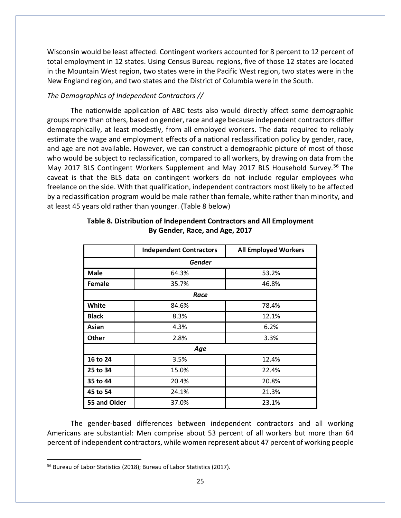Wisconsin would be least affected. Contingent workers accounted for 8 percent to 12 percent of total employment in 12 states. Using Census Bureau regions, five of those 12 states are located in the Mountain West region, two states were in the Pacific West region, two states were in the New England region, and two states and the District of Columbia were in the South.

# *The Demographics of Independent Contractors //*

The nationwide application of ABC tests also would directly affect some demographic groups more than others, based on gender, race and age because independent contractors differ demographically, at least modestly, from all employed workers. The data required to reliably estimate the wage and employment effects of a national reclassification policy by gender, race, and age are not available. However, we can construct a demographic picture of most of those who would be subject to reclassification, compared to all workers, by drawing on data from the May 2017 BLS Contingent Workers Supplement and May 2017 BLS Household Survey. [56](#page-25-0) The caveat is that the BLS data on contingent workers do not include regular employees who freelance on the side. With that qualification, independent contractors most likely to be affected by a reclassification program would be male rather than female, white rather than minority, and at least 45 years old rather than younger. (Table 8 below)

|              | <b>Independent Contractors</b> | <b>All Employed Workers</b> |  |  |  |
|--------------|--------------------------------|-----------------------------|--|--|--|
| Gender       |                                |                             |  |  |  |
| <b>Male</b>  | 64.3%                          | 53.2%                       |  |  |  |
| Female       | 35.7%                          | 46.8%                       |  |  |  |
|              | Race                           |                             |  |  |  |
| White        | 84.6%                          | 78.4%                       |  |  |  |
| <b>Black</b> | 8.3%                           | 12.1%                       |  |  |  |
| Asian        | 4.3%                           | 6.2%                        |  |  |  |
| <b>Other</b> | 2.8%                           | 3.3%                        |  |  |  |
| Age          |                                |                             |  |  |  |
| 16 to 24     | 3.5%                           | 12.4%                       |  |  |  |
| 25 to 34     | 15.0%                          | 22.4%                       |  |  |  |
| 35 to 44     | 20.4%                          | 20.8%                       |  |  |  |
| 45 to 54     | 24.1%                          | 21.3%                       |  |  |  |
| 55 and Older | 37.0%                          | 23.1%                       |  |  |  |

## **Table 8. Distribution of Independent Contractors and All Employment By Gender, Race, and Age, 2017**

The gender-based differences between independent contractors and all working Americans are substantial: Men comprise about 53 percent of all workers but more than 64 percent of independent contractors, while women represent about 47 percent of working people

<span id="page-25-0"></span><sup>56</sup> Bureau of Labor Statistics (2018); Bureau of Labor Statistics (2017).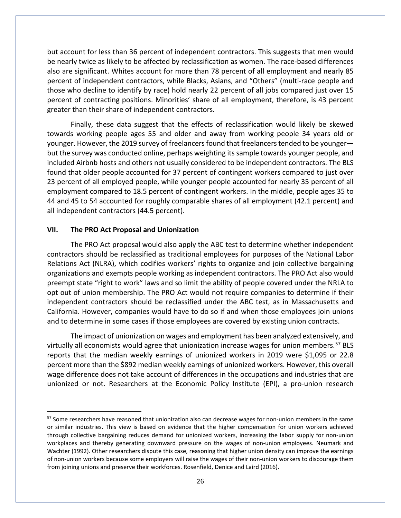but account for less than 36 percent of independent contractors. This suggests that men would be nearly twice as likely to be affected by reclassification as women. The race-based differences also are significant. Whites account for more than 78 percent of all employment and nearly 85 percent of independent contractors, while Blacks, Asians, and "Others" (multi-race people and those who decline to identify by race) hold nearly 22 percent of all jobs compared just over 15 percent of contracting positions. Minorities' share of all employment, therefore, is 43 percent greater than their share of independent contractors.

Finally, these data suggest that the effects of reclassification would likely be skewed towards working people ages 55 and older and away from working people 34 years old or younger. However, the 2019 survey of freelancersfound that freelancers tended to be younger but the survey was conducted online, perhaps weighting its sample towards younger people, and included Airbnb hosts and others not usually considered to be independent contractors. The BLS found that older people accounted for 37 percent of contingent workers compared to just over 23 percent of all employed people, while younger people accounted for nearly 35 percent of all employment compared to 18.5 percent of contingent workers. In the middle, people ages 35 to 44 and 45 to 54 accounted for roughly comparable shares of all employment (42.1 percent) and all independent contractors (44.5 percent).

#### **VII. The PRO Act Proposal and Unionization**

The PRO Act proposal would also apply the ABC test to determine whether independent contractors should be reclassified as traditional employees for purposes of the National Labor Relations Act (NLRA), which codifies workers' rights to organize and join collective bargaining organizations and exempts people working as independent contractors. The PRO Act also would preempt state "right to work" laws and so limit the ability of people covered under the NRLA to opt out of union membership. The PRO Act would not require companies to determine if their independent contractors should be reclassified under the ABC test, as in Massachusetts and California. However, companies would have to do so if and when those employees join unions and to determine in some cases if those employees are covered by existing union contracts.

The impact of unionization on wages and employment has been analyzed extensively, and virtually all economists would agree that unionization increase wages for union members.<sup>[57](#page-26-0)</sup> BLS reports that the median weekly earnings of unionized workers in 2019 were \$1,095 or 22.8 percent more than the \$892 median weekly earnings of unionized workers. However, this overall wage difference does not take account of differences in the occupations and industries that are unionized or not. Researchers at the Economic Policy Institute (EPI), a pro-union research

<span id="page-26-0"></span><sup>&</sup>lt;sup>57</sup> Some researchers have reasoned that unionization also can decrease wages for non-union members in the same or similar industries. This view is based on evidence that the higher compensation for union workers achieved through collective bargaining reduces demand for unionized workers, increasing the labor supply for non-union workplaces and thereby generating downward pressure on the wages of non-union employees. Neumark and Wachter (1992). Other researchers dispute this case, reasoning that higher union density can improve the earnings of non-union workers because some employers will raise the wages of their non-union workers to discourage them from joining unions and preserve their workforces. Rosenfield, Denice and Laird (2016).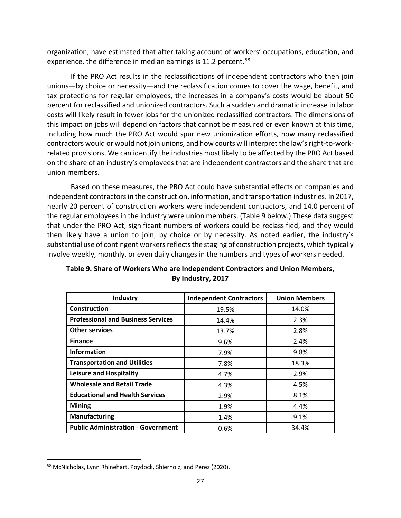organization, have estimated that after taking account of workers' occupations, education, and experience, the difference in median earnings is 11.2 percent.<sup>[58](#page-27-0)</sup>

If the PRO Act results in the reclassifications of independent contractors who then join unions—by choice or necessity—and the reclassification comes to cover the wage, benefit, and tax protections for regular employees, the increases in a company's costs would be about 50 percent for reclassified and unionized contractors. Such a sudden and dramatic increase in labor costs will likely result in fewer jobs for the unionized reclassified contractors. The dimensions of this impact on jobs will depend on factors that cannot be measured or even known at this time, including how much the PRO Act would spur new unionization efforts, how many reclassified contractors would or would not join unions, and how courts will interpret the law's right-to-workrelated provisions. We can identify the industries most likely to be affected by the PRO Act based on the share of an industry's employees that are independent contractors and the share that are union members.

Based on these measures, the PRO Act could have substantial effects on companies and independent contractors in the construction, information, and transportation industries. In 2017, nearly 20 percent of construction workers were independent contractors, and 14.0 percent of the regular employees in the industry were union members. (Table 9 below.) These data suggest that under the PRO Act, significant numbers of workers could be reclassified, and they would then likely have a union to join, by choice or by necessity. As noted earlier, the industry's substantial use of contingent workers reflects the staging of construction projects, which typically involve weekly, monthly, or even daily changes in the numbers and types of workers needed.

| Industry                                  | <b>Independent Contractors</b> | <b>Union Members</b> |
|-------------------------------------------|--------------------------------|----------------------|
| <b>Construction</b>                       | 19.5%                          | 14.0%                |
| <b>Professional and Business Services</b> | 14.4%                          | 2.3%                 |
| <b>Other services</b>                     | 13.7%                          | 2.8%                 |
| <b>Finance</b>                            | 9.6%                           | 2.4%                 |
| <b>Information</b>                        | 7.9%                           | 9.8%                 |
| <b>Transportation and Utilities</b>       | 7.8%                           | 18.3%                |
| <b>Leisure and Hospitality</b>            | 4.7%                           | 2.9%                 |
| <b>Wholesale and Retail Trade</b>         | 4.3%                           | 4.5%                 |
| <b>Educational and Health Services</b>    | 2.9%                           | 8.1%                 |
| <b>Mining</b>                             | 1.9%                           | 4.4%                 |
| <b>Manufacturing</b>                      | 1.4%                           | 9.1%                 |
| <b>Public Administration - Government</b> | 0.6%                           | 34.4%                |

# **Table 9. Share of Workers Who are Independent Contractors and Union Members, By Industry, 2017**

<span id="page-27-0"></span><sup>58</sup> McNicholas, Lynn Rhinehart, Poydock, Shierholz, and Perez (2020).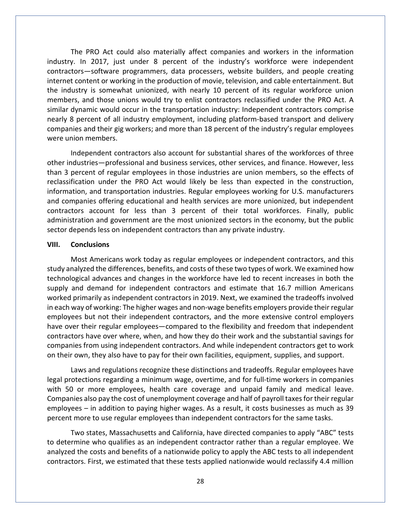The PRO Act could also materially affect companies and workers in the information industry. In 2017, just under 8 percent of the industry's workforce were independent contractors—software programmers, data processers, website builders, and people creating internet content or working in the production of movie, television, and cable entertainment. But the industry is somewhat unionized, with nearly 10 percent of its regular workforce union members, and those unions would try to enlist contractors reclassified under the PRO Act. A similar dynamic would occur in the transportation industry: Independent contractors comprise nearly 8 percent of all industry employment, including platform-based transport and delivery companies and their gig workers; and more than 18 percent of the industry's regular employees were union members.

Independent contractors also account for substantial shares of the workforces of three other industries—professional and business services, other services, and finance. However, less than 3 percent of regular employees in those industries are union members, so the effects of reclassification under the PRO Act would likely be less than expected in the construction, information, and transportation industries. Regular employees working for U.S. manufacturers and companies offering educational and health services are more unionized, but independent contractors account for less than 3 percent of their total workforces. Finally, public administration and government are the most unionized sectors in the economy, but the public sector depends less on independent contractors than any private industry.

#### **VIII. Conclusions**

Most Americans work today as regular employees or independent contractors, and this study analyzed the differences, benefits, and costs of these two types of work. We examined how technological advances and changes in the workforce have led to recent increases in both the supply and demand for independent contractors and estimate that 16.7 million Americans worked primarily as independent contractors in 2019. Next, we examined the tradeoffs involved in each way of working: The higher wages and non-wage benefits employers provide their regular employees but not their independent contractors, and the more extensive control employers have over their regular employees—compared to the flexibility and freedom that independent contractors have over where, when, and how they do their work and the substantial savings for companies from using independent contractors. And while independent contractors get to work on their own, they also have to pay for their own facilities, equipment, supplies, and support.

Laws and regulations recognize these distinctions and tradeoffs. Regular employees have legal protections regarding a minimum wage, overtime, and for full-time workers in companies with 50 or more employees, health care coverage and unpaid family and medical leave. Companies also pay the cost of unemployment coverage and half of payroll taxes for their regular employees – in addition to paying higher wages. As a result, it costs businesses as much as 39 percent more to use regular employees than independent contractors for the same tasks.

Two states, Massachusetts and California, have directed companies to apply "ABC" tests to determine who qualifies as an independent contractor rather than a regular employee. We analyzed the costs and benefits of a nationwide policy to apply the ABC tests to all independent contractors. First, we estimated that these tests applied nationwide would reclassify 4.4 million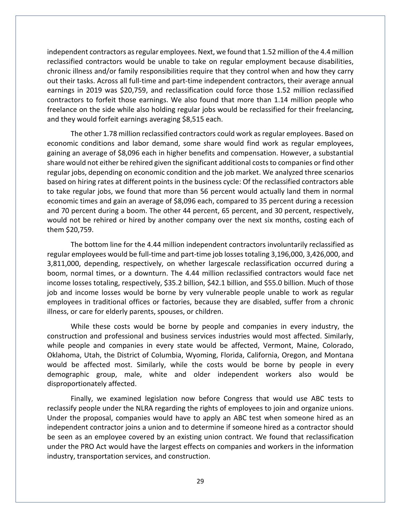independent contractors as regular employees. Next, we found that 1.52 million of the 4.4 million reclassified contractors would be unable to take on regular employment because disabilities, chronic illness and/or family responsibilities require that they control when and how they carry out their tasks. Across all full-time and part-time independent contractors, their average annual earnings in 2019 was \$20,759, and reclassification could force those 1.52 million reclassified contractors to forfeit those earnings. We also found that more than 1.14 million people who freelance on the side while also holding regular jobs would be reclassified for their freelancing, and they would forfeit earnings averaging \$8,515 each.

The other 1.78 million reclassified contractors could work as regular employees. Based on economic conditions and labor demand, some share would find work as regular employees, gaining an average of \$8,096 each in higher benefits and compensation. However, a substantial share would not either be rehired given the significant additional costs to companies or find other regular jobs, depending on economic condition and the job market. We analyzed three scenarios based on hiring rates at different points in the business cycle: Of the reclassified contractors able to take regular jobs, we found that more than 56 percent would actually land them in normal economic times and gain an average of \$8,096 each, compared to 35 percent during a recession and 70 percent during a boom. The other 44 percent, 65 percent, and 30 percent, respectively, would not be rehired or hired by another company over the next six months, costing each of them \$20,759.

The bottom line for the 4.44 million independent contractors involuntarily reclassified as regular employees would be full-time and part-time job lossestotaling 3,196,000, 3,426,000, and 3,811,000, depending, respectively, on whether largescale reclassification occurred during a boom, normal times, or a downturn. The 4.44 million reclassified contractors would face net income losses totaling, respectively, \$35.2 billion, \$42.1 billion, and \$55.0 billion. Much of those job and income losses would be borne by very vulnerable people unable to work as regular employees in traditional offices or factories, because they are disabled, suffer from a chronic illness, or care for elderly parents, spouses, or children.

While these costs would be borne by people and companies in every industry, the construction and professional and business services industries would most affected. Similarly, while people and companies in every state would be affected, Vermont, Maine, Colorado, Oklahoma, Utah, the District of Columbia, Wyoming, Florida, California, Oregon, and Montana would be affected most. Similarly, while the costs would be borne by people in every demographic group, male, white and older independent workers also would be disproportionately affected.

Finally, we examined legislation now before Congress that would use ABC tests to reclassify people under the NLRA regarding the rights of employees to join and organize unions. Under the proposal, companies would have to apply an ABC test when someone hired as an independent contractor joins a union and to determine if someone hired as a contractor should be seen as an employee covered by an existing union contract. We found that reclassification under the PRO Act would have the largest effects on companies and workers in the information industry, transportation services, and construction.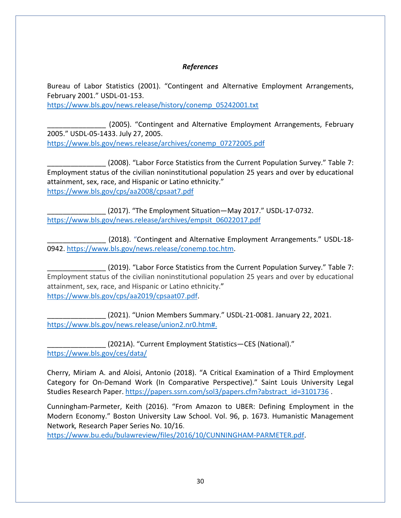## *References*

Bureau of Labor Statistics (2001). "Contingent and Alternative Employment Arrangements, February 2001." USDL-01-153.

[https://www.bls.gov/news.release/history/conemp\\_05242001.txt](https://www.bls.gov/news.release/history/conemp_05242001.txt)

\_\_\_\_\_\_\_\_\_\_\_\_\_\_\_ (2005). "Contingent and Alternative Employment Arrangements, February 2005." USDL-05-1433. July 27, 2005. [https://www.bls.gov/news.release/archives/conemp\\_07272005.pdf](https://www.bls.gov/news.release/archives/conemp_07272005.pdf)

(2008). "Labor Force Statistics from the Current Population Survey." Table 7: Employment status of the civilian noninstitutional population 25 years and over by educational attainment, sex, race, and Hispanic or Latino ethnicity." <https://www.bls.gov/cps/aa2008/cpsaat7.pdf>

\_\_\_\_\_\_\_\_\_\_\_\_\_\_\_ (2017). "The Employment Situation—May 2017." USDL-17-0732. [https://www.bls.gov/news.release/archives/empsit\\_06022017.pdf](https://www.bls.gov/news.release/archives/empsit_06022017.pdf)

\_\_\_\_\_\_\_\_\_\_\_\_\_\_\_ (2018). "Contingent and Alternative Employment Arrangements." USDL-18- 0942. [https://www.bls.gov/news.release/conemp.toc.htm.](https://www.bls.gov/news.release/conemp.toc.htm)

\_\_\_\_\_\_\_\_\_\_\_\_\_\_\_ (2019). "Labor Force Statistics from the Current Population Survey." Table 7: Employment status of the civilian noninstitutional population 25 years and over by educational attainment, sex, race, and Hispanic or Latino ethnicity." [https://www.bls.gov/cps/aa2019/cpsaat07.pdf.](https://www.bls.gov/cps/aa2019/cpsaat07.pdf)

\_\_\_\_\_\_\_\_\_\_\_\_\_\_\_ (2021). "Union Members Summary." USDL-21-0081. January 22, 2021. [https://www.bls.gov/news.release/union2.nr0.htm#.](https://www.bls.gov/news.release/union2.nr0.htm#:%7E:text=The%20unionization%20rate%20for%20private,drop%20in%20private%2D%20sector%20employment)

\_\_\_\_\_\_\_\_\_\_\_\_\_\_\_ (2021A). "Current Employment Statistics—CES (National)." <https://www.bls.gov/ces/data/>

Cherry, Miriam A. and Aloisi, Antonio (2018). "A Critical Examination of a Third Employment Category for On-Demand Work (In Comparative Perspective)." Saint Louis University Legal Studies Research Paper[. https://papers.ssrn.com/sol3/papers.cfm?abstract\\_id=3101736](https://papers.ssrn.com/sol3/papers.cfm?abstract_id=3101736).

Cunningham-Parmeter, Keith (2016). "From Amazon to UBER: Defining Employment in the Modern Economy." Boston University Law School. Vol. 96, p. 1673. Humanistic Management Network*,* Research Paper Series No. 10/16.

[https://www.bu.edu/bulawreview/files/2016/10/CUNNINGHAM-PARMETER.pdf.](https://www.bu.edu/bulawreview/files/2016/10/CUNNINGHAM-PARMETER.pdf)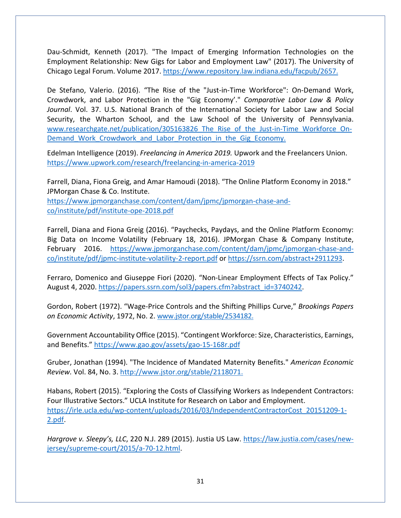Dau-Schmidt, Kenneth (2017). "The Impact of Emerging Information Technologies on the Employment Relationship: New Gigs for Labor and Employment Law" (2017). The University of Chicago Legal Forum. Volume 2017. [https://www.repository.law.indiana.edu/facpub/2657.](https://www.repository.law.indiana.edu/facpub/2657.D)

De Stefano, Valerio. (2016). "The Rise of the "Just-in-Time Workforce": On-Demand Work, Crowdwork, and Labor Protection in the "Gig Economy'." *Comparative Labor Law & Policy Journal*. Vol. 37. U.S. National Branch of the International Society for Labor Law and Social Security, the Wharton School, and the Law School of the University of Pennsylvania. www.researchgate.net/publication/305163826 The Rise of the Just-in-Time Workforce On-Demand Work Crowdwork and Labor Protection in the Gig Economy.

Edelman Intelligence (2019). *Freelancing in America 2019.* Upwork and the Freelancers Union. <https://www.upwork.com/research/freelancing-in-america-2019>

Farrell, Diana, Fiona Greig, and Amar Hamoudi (2018). "The Online Platform Economy in 2018." JPMorgan Chase & Co. Institute.

[https://www.jpmorganchase.com/content/dam/jpmc/jpmorgan-chase-and](https://www.jpmorganchase.com/content/dam/jpmc/jpmorgan-chase-and-co/institute/pdf/institute-ope-2018.pdf)[co/institute/pdf/institute-ope-2018.pdf](https://www.jpmorganchase.com/content/dam/jpmc/jpmorgan-chase-and-co/institute/pdf/institute-ope-2018.pdf)

Farrell, Diana and Fiona Greig (2016). "Paychecks, Paydays, and the Online Platform Economy: Big Data on Income Volatility (February 18, 2016). JPMorgan Chase & Company Institute, February 2016. [https://www.jpmorganchase.com/content/dam/jpmc/jpmorgan-chase-and](https://www.jpmorganchase.com/content/dam/jpmc/jpmorgan-chase-and-co/institute/pdf/jpmc-institute-volatility-2-report.pdf)[co/institute/pdf/jpmc-institute-volatility-2-report.pdf](https://www.jpmorganchase.com/content/dam/jpmc/jpmorgan-chase-and-co/institute/pdf/jpmc-institute-volatility-2-report.pdf) or [https://ssrn.com/abstract+2911293.](https://ssrn.com/abstract+2911293)

Ferraro, Domenico and Giuseppe Fiori (2020). "Non-Linear Employment Effects of Tax Policy." August 4, 2020. [https://papers.ssrn.com/sol3/papers.cfm?abstract\\_id=3740242.](https://papers.ssrn.com/sol3/papers.cfm?abstract_id=3740242)

Gordon, Robert (1972). "Wage-Price Controls and the Shifting Phillips Curve," *Brookings Papers on Economic Activity*, 1972, No. 2. [www.jstor.org/stable/2534182.](http://www.jstor.org/stable/2534182)

Government Accountability Office (2015). "Contingent Workforce: Size, Characteristics, Earnings, and Benefits.[" https://www.gao.gov/assets/gao-15-168r.pdf](https://www.gao.gov/assets/gao-15-168r.pdf)

Gruber, Jonathan (1994). "The Incidence of Mandated Maternity Benefits." *American Economic Review.* Vol. 84, No. 3. [http://www.jstor.org/stable/2118071.](http://www.jstor.org/stable/2118071)

Habans, Robert (2015). "Exploring the Costs of Classifying Workers as Independent Contractors: Four Illustrative Sectors." UCLA Institute for Research on Labor and Employment. [https://irle.ucla.edu/wp-content/uploads/2016/03/IndependentContractorCost\\_20151209-1-](https://irle.ucla.edu/wp-content/uploads/2016/03/IndependentContractorCost_20151209-1-2.pdf) [2.pdf.](https://irle.ucla.edu/wp-content/uploads/2016/03/IndependentContractorCost_20151209-1-2.pdf)

*Hargrove v. Sleepy's, LLC*, 220 N.J. 289 (2015). Justia US Law. [https://law.justia.com/cases/new](https://law.justia.com/cases/new-jersey/supreme-court/2015/a-70-12.html)[jersey/supreme-court/2015/a-70-12.html.](https://law.justia.com/cases/new-jersey/supreme-court/2015/a-70-12.html)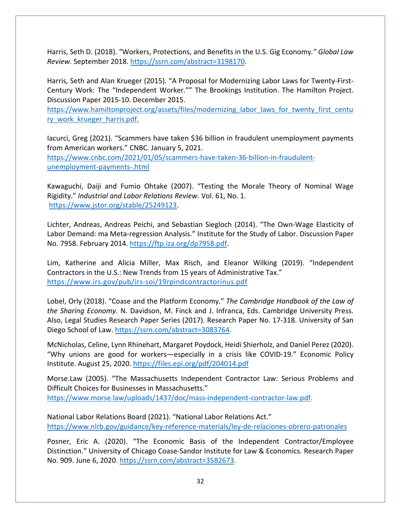Harris, Seth D. (2018). "Workers, Protections, and Benefits in the U.S. Gig Economy*." Global Law Review.* September 2018. [https://ssrn.com/abstract=3198170.](https://ssrn.com/abstract=3198170)

Harris, Seth and Alan Krueger (2015). "A Proposal for Modernizing Labor Laws for Twenty-First-Century Work: The "Independent Worker."" The Brookings Institution. The Hamilton Project. Discussion Paper 2015-10. December 2015.

[https://www.hamiltonproject.org/assets/files/modernizing\\_labor\\_laws\\_for\\_twenty\\_first\\_centu](https://www.hamiltonproject.org/assets/files/modernizing_labor_laws_for_twenty_first_century_work_krueger_harris.pdf) [ry\\_work\\_krueger\\_harris.pdf.](https://www.hamiltonproject.org/assets/files/modernizing_labor_laws_for_twenty_first_century_work_krueger_harris.pdf)

Iacurci, Greg (2021). "Scammers have taken \$36 billion in fraudulent unemployment payments from American workers." CNBC. January 5, 2021. [https://www.cnbc.com/2021/01/05/scammers-have-taken-36-billion-in-fraudulent](https://www.cnbc.com/2021/01/05/scammers-have-taken-36-billion-in-fraudulent-unemployment-payments-.html)[unemployment-payments-.html](https://www.cnbc.com/2021/01/05/scammers-have-taken-36-billion-in-fraudulent-unemployment-payments-.html)

Kawaguchi, Daiji and Fumio Ohtake (2007). "Testing the Morale Theory of Nominal Wage Rigidity." *Industrial and Labor Relations Review.* Vol. 61, No. 1. [https://www.jstor.org/stable/25249123.](https://www.jstor.org/stable/25249123)

Lichter, Andreas, Andreas Peichi, and Sebastian Siegloch (2014). "The Own-Wage Elasticity of Labor Demand: ma Meta-regression Analysis." Institute for the Study of Labor. Discussion Paper No. 7958. February 2014. [https://ftp.iza.org/dp7958.pdf.](https://ftp.iza.org/dp7958.pdf)

Lim, Katherine and Alicia Miller, Max Risch, and Eleanor Wilking (2019). "Independent Contractors in the U.S.: New Trends from 15 years of Administrative Tax." <https://www.irs.gov/pub/irs-soi/19rpindcontractorinus.pdf>

Lobel, Orly (2018). "Coase and the Platform Economy." *The Cambridge Handbook of the Law of the Sharing Economy*. N. Davidson, M. Finck and J. Infranca, Eds. Cambridge University Press. Also, Legal Studies Research Paper Series (2017). Research Paper No. 17-318. University of San Diego School of Law. [https://ssrn.com/abstract=3083764.](https://ssrn.com/abstract=3083764)

McNicholas, Celine, Lynn Rhinehart, Margaret Poydock, Heidi Shierholz, and Daniel Perez (2020). "Why unions are good for workers—especially in a crisis like COVID-19." Economic Policy Institute. August 25, 2020.<https://files.epi.org/pdf/204014.pdf>

Morse.Law (2005). "The Massachusetts Independent Contractor Law: Serious Problems and Difficult Choices for Businesses in Massachusetts." [https://www.morse.law/uploads/1437/doc/mass-independent-contractor-law.pdf.](https://www.morse.law/uploads/1437/doc/mass-independent-contractor-law.pdf)

National Labor Relations Board (2021). "National Labor Relations Act." <https://www.nlrb.gov/guidance/key-reference-materials/ley-de-relaciones-obrero-patronales>

Posner, Eric A. (2020). "The Economic Basis of the Independent Contractor/Employee Distinction." University of Chicago Coase-Sandor Institute for Law & Economics. Research Paper No. 909. June 6, 2020. [https://ssrn.com/abstract=3582673.](https://ssrn.com/abstract=3582673)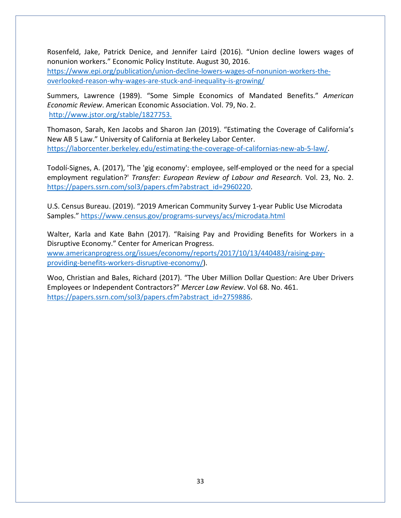Rosenfeld, Jake, Patrick Denice, and Jennifer Laird (2016). "Union decline lowers wages of nonunion workers." Economic Policy Institute. August 30, 2016. [https://www.epi.org/publication/union-decline-lowers-wages-of-nonunion-workers-the](https://www.epi.org/publication/union-decline-lowers-wages-of-nonunion-workers-the-overlooked-reason-why-wages-are-stuck-and-inequality-is-growing/)[overlooked-reason-why-wages-are-stuck-and-inequality-is-growing/](https://www.epi.org/publication/union-decline-lowers-wages-of-nonunion-workers-the-overlooked-reason-why-wages-are-stuck-and-inequality-is-growing/)

Summers, Lawrence (1989). "Some Simple Economics of Mandated Benefits." *American Economic Review*. American Economic Association. Vol. 79, No. 2. [http://www.jstor.org/stable/1827753.](http://www.jstor.org/stable/1827753)

Thomason, Sarah, Ken Jacobs and Sharon Jan (2019). "Estimating the Coverage of California's New AB 5 Law." University of California at Berkeley Labor Center. [https://laborcenter.berkeley.edu/estimating-the-coverage-of-californias-new-ab-5-law/.](https://laborcenter.berkeley.edu/estimating-the-coverage-of-californias-new-ab-5-law/)

Todolí-Signes, A. (2017), 'The 'gig economy': employee, self-employed or the need for a special employment regulation?' *Transfer: European Review of Labour and Research.* Vol. 23, No. 2. [https://papers.ssrn.com/sol3/papers.cfm?abstract\\_id=2960220.](https://papers.ssrn.com/sol3/papers.cfm?abstract_id=2960220)

U.S. Census Bureau. (2019). "2019 American Community Survey 1-year Public Use Microdata Samples."<https://www.census.gov/programs-surveys/acs/microdata.html>

Walter, Karla and Kate Bahn (2017). "Raising Pay and Providing Benefits for Workers in a Disruptive Economy." Center for American Progress. [www.americanprogress.org/issues/economy/reports/2017/10/13/440483/raising-pay](http://www.americanprogress.org/issues/economy/reports/2017/10/13/440483/raising-pay-providing-benefits-workers-disruptive-economy/)[providing-benefits-workers-disruptive-economy/\)](http://www.americanprogress.org/issues/economy/reports/2017/10/13/440483/raising-pay-providing-benefits-workers-disruptive-economy/).

Woo, Christian and Bales, Richard (2017). "The Uber Million Dollar Question: Are Uber Drivers Employees or Independent Contractors?" *Mercer Law Review*. Vol 68. No. 461. [https://papers.ssrn.com/sol3/papers.cfm?abstract\\_id=2759886.](https://papers.ssrn.com/sol3/papers.cfm?abstract_id=2759886)